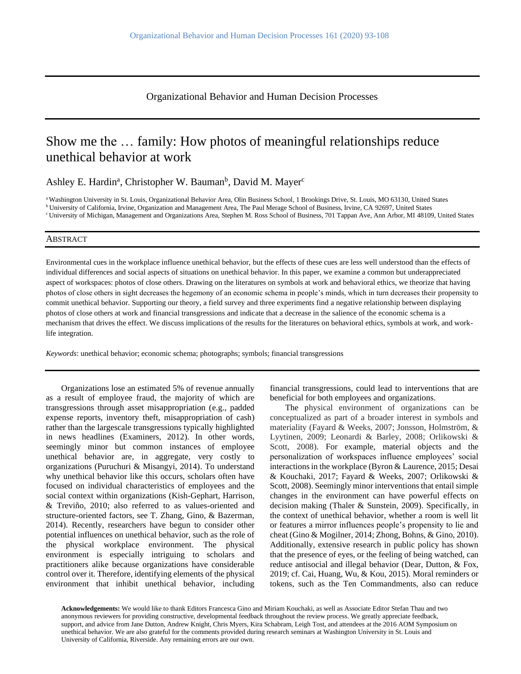Organizational Behavior and Human Decision Processes

# Show me the … family: How photos of meaningful relationships reduce unethical behavior at work

Ashley E. Hardin<sup>a</sup>, Christopher W. Bauman<sup>b</sup>, David M. Mayer<sup>c</sup>

<sup>a</sup> Washington University in St. Louis, Organizational Behavior Area, Olin Business School, 1 Brookings Drive, St. Louis, MO 63130, United States <sup>b</sup> University of California, Irvine, Organization and Management Area, The Paul Merage School of Business, Irvine, CA 92697, United States <sup>c</sup> University of Michigan, Management and Organizations Area, Stephen M. Ross School of Business, 701 Tappan Ave, Ann Arbor, MI 48109, United States

## ABSTRACT

Environmental cues in the workplace influence unethical behavior, but the effects of these cues are less well understood than the effects of individual differences and social aspects of situations on unethical behavior. In this paper, we examine a common but underappreciated aspect of workspaces: photos of close others. Drawing on the literatures on symbols at work and behavioral ethics, we theorize that having photos of close others in sight decreases the hegemony of an economic schema in people's minds, which in turn decreases their propensity to commit unethical behavior. Supporting our theory, a field survey and three experiments find a negative relationship between displaying photos of close others at work and financial transgressions and indicate that a decrease in the salience of the economic schema is a mechanism that drives the effect. We discuss implications of the results for the literatures on behavioral ethics, symbols at work, and worklife integration.

*Keywords*: unethical behavior; economic schema; photographs; symbols; financial transgressions

Organizations lose an estimated 5% of revenue annually as a result of employee fraud, the majority of which are transgressions through asset misappropriation [\(e.g., padded](#page-15-0)  [expense reports, inventory theft, misappropriation of cash\)](#page-15-0) rather than the largescale transgressions typically highlighted in news headlines (Examiners, 2012). In other words, seemingly minor but common instances of employee unethical behavior are, in aggregate, very costly to organizations (Puruchuri & Misangyi, 2014). To understand why unethical behavior like this occurs, scholars often have focused on individual characteristics of employees and the social context within organizations [\(Kish-Gephart, Harrison,](#page-15-1)  [& Treviño, 2010;](#page-15-1) [also referred to as values-oriented and](#page-16-0)  [structure-oriented factors, see T. Zhang, Gino, & Bazerman,](#page-16-0)  [2014\)](#page-16-0). Recently, researchers have begun to consider other potential influences on unethical behavior, such as the role of the physical workplace environment. The physical environment is especially intriguing to scholars and practitioners alike because organizations have considerable control over it. Therefore, identifying elements of the physical environment that inhibit unethical behavior, including financial transgressions, could lead to interventions that are beneficial for both employees and organizations.

The physical environment of organizations can be conceptualized as part of a broader interest in symbols and materiality [\(Fayard & Weeks, 2007;](#page-15-2) [Jonsson, Holmström, &](#page-15-3)  [Lyytinen, 2009;](#page-15-3) [Leonardi & Barley, 2008;](#page-15-4) [Orlikowski &](#page-15-5)  [Scott, 2008\)](#page-15-5). For example, material objects and the personalization of workspaces influence employees' social interactions in the workplace [\(Byron & Laurence, 2015;](#page-14-0) [Desai](#page-14-1)  [& Kouchaki, 2017;](#page-14-1) [Fayard & Weeks, 2007;](#page-15-2) [Orlikowski &](#page-15-5)  [Scott, 2008\)](#page-15-5). Seemingly minor interventions that entail simple changes in the environment can have powerful effects on decision making [\(Thaler & Sunstein, 2009\)](#page-16-1). Specifically, in the context of unethical behavior, whether a room is well lit or features a mirror influences people's propensity to lie and cheat [\(Gino & Mogilner, 2014;](#page-15-6) [Zhong, Bohns, & Gino, 2010\)](#page-16-2). Additionally, extensive research in public policy has shown that the presence of eyes, or the feeling of being watched, can reduce antisocial and illegal behavior [\(Dear, Dutton, & Fox,](#page-14-2)  [2019; cf. Cai, Huang, Wu, & Kou, 2015\)](#page-14-2). Moral reminders or tokens, such as the Ten Commandments, also can reduce

**Acknowledgements:** We would like to thank Editors Francesca Gino and Miriam Kouchaki, as well as Associate Editor Stefan Thau and two anonymous reviewers for providing constructive, developmental feedback throughout the review process. We greatly appreciate feedback, support, and advice from Jane Dutton, Andrew Knight, Chris Myers, Kira Schabram, Leigh Tost, and attendees at the 2016 AOM Symposium on unethical behavior. We are also grateful for the comments provided during research seminars at Washington University in St. Louis and University of California, Riverside. Any remaining errors are our own.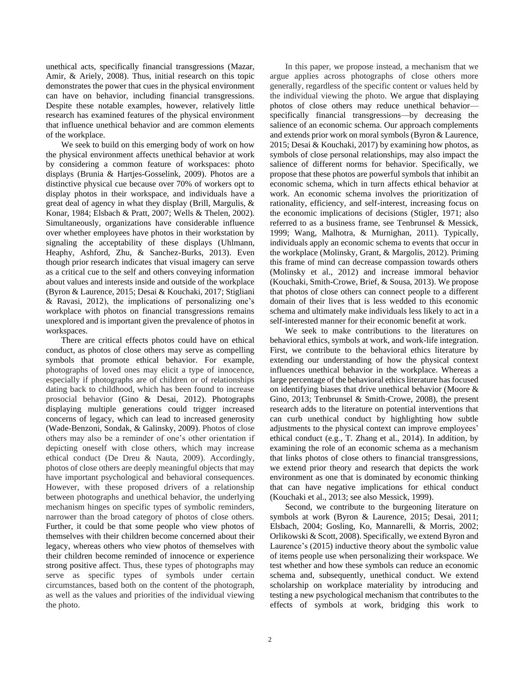unethical acts, specifically financial transgressions [\(Mazar,](#page-15-7)  [Amir, & Ariely, 2008\)](#page-15-7). Thus, initial research on this topic demonstrates the power that cues in the physical environment can have on behavior, including financial transgressions. Despite these notable examples, however, relatively little research has examined features of the physical environment that influence unethical behavior and are common elements of the workplace.

We seek to build on this emerging body of work on how the physical environment affects unethical behavior at work by considering a common feature of workspaces: photo displays [\(Brunia & Hartjes-Gosselink, 2009\)](#page-14-3). Photos are a distinctive physical cue because over 70% of workers opt to display photos in their workspace, and individuals have a great deal of agency in what they display [\(Brill, Margulis, &](#page-14-4)  [Konar, 1984;](#page-14-4) [Elsbach & Pratt, 2007;](#page-15-8) [Wells & Thelen, 2002\)](#page-16-3). Simultaneously, organizations have considerable influence over whether employees have photos in their workstation by signaling the acceptability of these displays [\(Uhlmann,](#page-16-4)  [Heaphy, Ashford, Zhu, & Sanchez-Burks, 2013\)](#page-16-4). Even though prior research indicates that visual imagery can serve as a critical cue to the self and others conveying information about values and interests inside and outside of the workplace [\(Byron & Laurence, 2015;](#page-14-0) [Desai & Kouchaki, 2017;](#page-14-1) [Stigliani](#page-16-5)  [& Ravasi, 2012\)](#page-16-5), the implications of personalizing one's workplace with photos on financial transgressions remains unexplored and is important given the prevalence of photos in workspaces.

There are critical effects photos could have on ethical conduct, as photos of close others may serve as compelling symbols that promote ethical behavior. For example, photographs of loved ones may elicit a type of innocence, especially if photographs are of children or of relationships dating back to childhood, which has been found to increase prosocial behavior [\(Gino & Desai, 2012\)](#page-15-9). Photographs displaying multiple generations could trigger increased concerns of legacy, which can lead to increased generosity [\(Wade-Benzoni, Sondak, & Galinsky, 2009\)](#page-16-6). Photos of close others may also be a reminder of one's other orientation if depicting oneself with close others, which may increase ethical conduct [\(De Dreu & Nauta, 2009\)](#page-14-5). Accordingly, photos of close others are deeply meaningful objects that may have important psychological and behavioral consequences. However, with these proposed drivers of a relationship between photographs and unethical behavior, the underlying mechanism hinges on specific types of symbolic reminders, narrower than the broad category of photos of close others. Further, it could be that some people who view photos of themselves with their children become concerned about their legacy, whereas others who view photos of themselves with their children become reminded of innocence or experience strong positive affect. Thus, these types of photographs may serve as specific types of symbols under certain circumstances, based both on the content of the photograph, as well as the values and priorities of the individual viewing the photo.

In this paper, we propose instead, a mechanism that we argue applies across photographs of close others more generally, regardless of the specific content or values held by the individual viewing the photo. We argue that displaying photos of close others may reduce unethical behavior specifically financial transgressions—by decreasing the salience of an economic schema. Our approach complements and extends prior work on moral symbols (Byron & Laurence, 2015; Desai & Kouchaki, 2017) by examining how photos, as symbols of close personal relationships, may also impact the salience of different norms for behavior. Specifically, we propose that these photos are powerful symbols that inhibit an economic schema, which in turn affects ethical behavior at work. An economic schema involves the prioritization of rationality, efficiency, and self-interest, increasing focus on the economic implications of decisions [\(Stigler, 1971;](#page-16-7) [also](#page-16-8)  [referred to as a business frame, see Tenbrunsel & Messick,](#page-16-8)  [1999;](#page-16-8) [Wang, Malhotra, & Murnighan, 2011\)](#page-16-9). Typically, individuals apply an economic schema to events that occur in the workplace [\(Molinsky, Grant, & Margolis, 2012\)](#page-15-10). Priming this frame of mind can decrease compassion towards others [\(Molinsky et al., 2012\)](#page-15-10) and increase immoral behavior [\(Kouchaki, Smith-Crowe, Brief, & Sousa, 2013\)](#page-15-11). We propose that photos of close others can connect people to a different domain of their lives that is less wedded to this economic schema and ultimately make individuals less likely to act in a self-interested manner for their economic benefit at work.

We seek to make contributions to the literatures on behavioral ethics, symbols at work, and work-life integration. First, we contribute to the behavioral ethics literature by extending our understanding of how the physical context influences unethical behavior in the workplace. Whereas a large percentage of the behavioral ethics literature has focused on identifying biases that drive unethical behavior [\(Moore &](#page-15-12)  [Gino, 2013;](#page-15-12) [Tenbrunsel & Smith-Crowe, 2008\)](#page-16-10), the present research adds to the literature on potential interventions that can curb unethical conduct by highlighting how subtle adjustments to the physical context can improve employees' ethical conduct [\(e.g., T. Zhang et al., 2014\)](#page-16-0). In addition, by examining the role of an economic schema as a mechanism that links photos of close others to financial transgressions, we extend prior theory and research that depicts the work environment as one that is dominated by economic thinking that can have negative implications for ethical conduct [\(Kouchaki et al., 2013;](#page-15-11) [see also Messick, 1999\)](#page-15-13).

Second, we contribute to the burgeoning literature on symbols at work [\(Byron & Laurence, 2015;](#page-14-0) [Desai, 2011;](#page-14-6) [Elsbach, 2004;](#page-15-14) [Gosling, Ko, Mannarelli, & Morris, 2002;](#page-15-15) [Orlikowski & Scott, 2008\)](#page-15-5). Specifically, we extend Byron and Laurence's [\(2015\)](#page-14-0) inductive theory about the symbolic value of items people use when personalizing their workspace. We test whether and how these symbols can reduce an economic schema and, subsequently, unethical conduct. We extend scholarship on workplace materiality by introducing and testing a new psychological mechanism that contributes to the effects of symbols at work, bridging this work to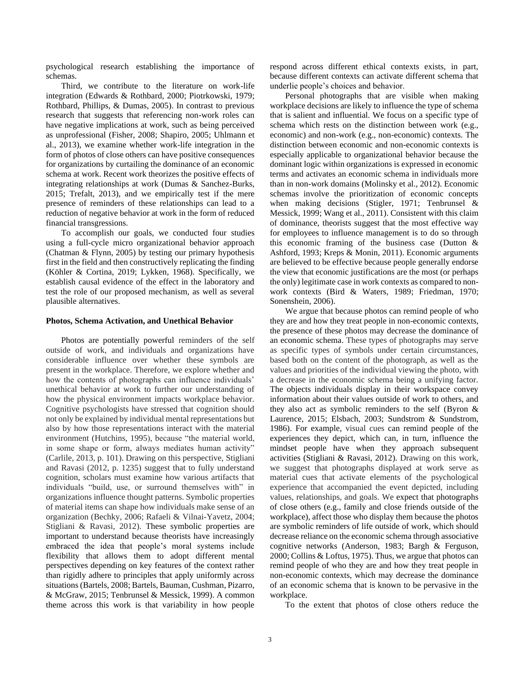psychological research establishing the importance of schemas.

Third, we contribute to the literature on work-life integration [\(Edwards & Rothbard, 2000;](#page-15-16) [Piotrkowski, 1979;](#page-16-11) [Rothbard, Phillips, & Dumas, 2005\)](#page-16-12). In contrast to previous research that suggests that referencing non-work roles can have negative implications at work, such as being perceived as unprofessional [\(Fisher, 2008;](#page-15-17) [Shapiro, 2005;](#page-16-13) [Uhlmann et](#page-16-4)  [al., 2013\)](#page-16-4), we examine whether work-life integration in the form of photos of close others can have positive consequences for organizations by curtailing the dominance of an economic schema at work. Recent work theorizes the positive effects of integrating relationships at work [\(Dumas & Sanchez-Burks,](#page-14-7)  [2015;](#page-14-7) [Trefalt, 2013\)](#page-16-14), and we empirically test if the mere presence of reminders of these relationships can lead to a reduction of negative behavior at work in the form of reduced financial transgressions.

To accomplish our goals, we conducted four studies using a full-cycle micro organizational behavior approach [\(Chatman & Flynn, 2005\)](#page-14-8) by testing our primary hypothesis first in the field and then constructively replicating the finding (Köhler & Cortina, 2019; [Lykken, 1968\)](#page-15-18). Specifically, we establish causal evidence of the effect in the laboratory and test the role of our proposed mechanism, as well as several plausible alternatives.

#### **Photos, Schema Activation, and Unethical Behavior**

Photos are potentially powerful reminders of the self outside of work, and individuals and organizations have considerable influence over whether these symbols are present in the workplace. Therefore, we explore whether and how the contents of photographs can influence individuals' unethical behavior at work to further our understanding of how the physical environment impacts workplace behavior. Cognitive psychologists have stressed that cognition should not only be explained by individual mental representations but also by how those representations interact with the material environment [\(Hutchins, 1995\)](#page-15-19), because "the material world, in some shape or form, always mediates human activity" [\(Carlile, 2013, p. 101\)](#page-14-9). Drawing on this perspective, [Stigliani](#page-16-5)  [and Ravasi \(2012, p. 1235\)](#page-16-5) suggest that to fully understand cognition, scholars must examine how various artifacts that individuals "build, use, or surround themselves with" in organizations influence thought patterns. Symbolic properties of material items can shape how individuals make sense of an organization [\(Bechky, 2006;](#page-14-10) [Rafaeli & Vilnai-Yavetz, 2004;](#page-16-15) [Stigliani & Ravasi, 2012\)](#page-16-5). These symbolic properties are important to understand because theorists have increasingly embraced the idea that people's moral systems include flexibility that allows them to adopt different mental perspectives depending on key features of the context rather than rigidly adhere to principles that apply uniformly across situations [\(Bartels, 2008;](#page-14-11) [Bartels, Bauman, Cushman, Pizarro,](#page-14-12)  [& McGraw, 2015;](#page-14-12) [Tenbrunsel & Messick, 1999\)](#page-16-8). A common theme across this work is that variability in how people respond across different ethical contexts exists, in part, because different contexts can activate different schema that underlie people's choices and behavior.

Personal photographs that are visible when making workplace decisions are likely to influence the type of schema that is salient and influential. We focus on a specific type of schema which rests on the distinction between work (e.g., economic) and non-work (e.g., non-economic) contexts. The distinction between economic and non-economic contexts is especially applicable to organizational behavior because the dominant logic within organizations is expressed in economic terms and activates an economic schema in individuals more than in non-work domains [\(Molinsky et al., 2012\)](#page-15-10). Economic schemas involve the prioritization of economic concepts when making decisions [\(Stigler, 1971;](#page-16-7) [Tenbrunsel &](#page-16-8)  [Messick, 1999;](#page-16-8) [Wang et al., 2011\)](#page-16-9). Consistent with this claim of dominance, theorists suggest that the most effective way for employees to influence management is to do so through this economic framing of the business case [\(Dutton &](#page-14-13)  [Ashford, 1993;](#page-14-13) [Kreps & Monin, 2011\)](#page-15-20). Economic arguments are believed to be effective because people generally endorse the view that economic justifications are the most (or perhaps the only) legitimate case in work contexts as compared to nonwork contexts [\(Bird & Waters, 1989;](#page-14-14) [Friedman, 1970;](#page-15-21) [Sonenshein, 2006\)](#page-16-16).

We argue that because photos can remind people of who they are and how they treat people in non-economic contexts, the presence of these photos may decrease the dominance of an economic schema. These types of photographs may serve as specific types of symbols under certain circumstances, based both on the content of the photograph, as well as the values and priorities of the individual viewing the photo, with a decrease in the economic schema being a unifying factor. The objects individuals display in their workspace convey information about their values outside of work to others, and they also act as symbolic reminders to the self [\(Byron &](#page-14-0)  [Laurence, 2015;](#page-14-0) [Elsbach, 2003;](#page-15-22) [Sundstrom & Sundstrom,](#page-16-17)  [1986\)](#page-16-17). For example, visual cues can remind people of the experiences they depict, which can, in turn, influence the mindset people have when they approach subsequent activities [\(Stigliani & Ravasi, 2012\)](#page-16-5). Drawing on this work, we suggest that photographs displayed at work serve as material cues that activate elements of the psychological experience that accompanied the event depicted, including values, relationships, and goals. We expect that photographs of close others (e.g., family and close friends outside of the workplace), affect those who display them because the photos are symbolic reminders of life outside of work, which should decrease reliance on the economic schema through associative cognitive networks [\(Anderson, 1983;](#page-14-15) [Bargh & Ferguson,](#page-14-16)  [2000;](#page-14-16) [Collins & Loftus, 1975\)](#page-14-17). Thus, we argue that photos can remind people of who they are and how they treat people in non-economic contexts, which may decrease the dominance of an economic schema that is known to be pervasive in the workplace.

To the extent that photos of close others reduce the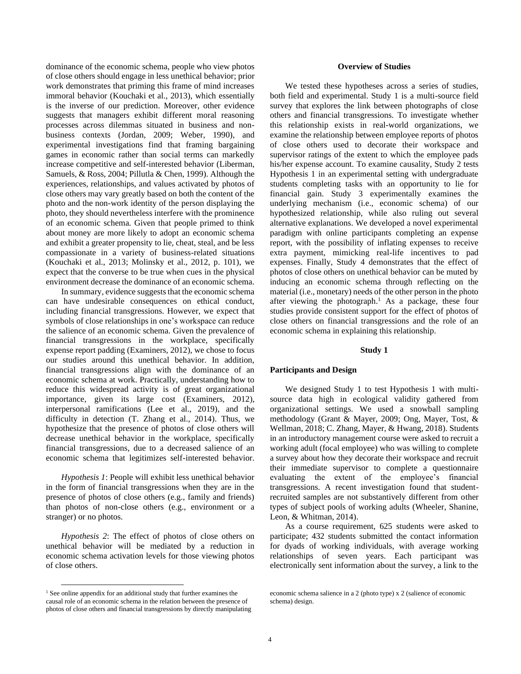dominance of the economic schema, people who view photos of close others should engage in less unethical behavior; prior work demonstrates that priming this frame of mind increases immoral behavior [\(Kouchaki et al., 2013\)](#page-15-11), which essentially is the inverse of our prediction. Moreover, other evidence suggests that managers exhibit different moral reasoning processes across dilemmas situated in business and nonbusiness contexts (Jordan, 2009; [Weber, 1990\)](#page-16-18), and experimental investigations find that framing bargaining games in economic rather than social terms can markedly increase competitive and self-interested behavior [\(Liberman,](#page-15-23)  [Samuels, & Ross, 2004;](#page-15-23) [Pillutla & Chen, 1999\)](#page-16-19). Although the experiences, relationships, and values activated by photos of close others may vary greatly based on both the content of the photo and the non-work identity of the person displaying the photo, they should nevertheless interfere with the prominence of an economic schema. Given that people primed to think about money are more likely to adopt an economic schema and exhibit a greater propensity to lie, cheat, steal, and be less compassionate in a variety of business-related situations [\(Kouchaki et al., 2013;](#page-15-11) [Molinsky et al., 2012, p. 101\)](#page-15-10), we expect that the converse to be true when cues in the physical environment decrease the dominance of an economic schema.

In summary, evidence suggests that the economic schema can have undesirable consequences on ethical conduct, including financial transgressions. However, we expect that symbols of close relationships in one's workspace can reduce the salience of an economic schema. Given the prevalence of financial transgressions in the workplace, specifically expense report padding [\(Examiners, 2012\)](#page-15-0), we chose to focus our studies around this unethical behavior. In addition, financial transgressions align with the dominance of an economic schema at work. Practically, understanding how to reduce this widespread activity is of great organizational importance, given its large cost [\(Examiners, 2012\)](#page-15-0), interpersonal ramifications (Lee et al., 2019), and the difficulty in detection [\(T. Zhang et al., 2014\)](#page-16-0). Thus, we hypothesize that the presence of photos of close others will decrease unethical behavior in the workplace, specifically financial transgressions, due to a decreased salience of an economic schema that legitimizes self-interested behavior.

*Hypothesis 1*: People will exhibit less unethical behavior in the form of financial transgressions when they are in the presence of photos of close others (e.g., family and friends) than photos of non-close others (e.g., environment or a stranger) or no photos.

*Hypothesis 2*: The effect of photos of close others on unethical behavior will be mediated by a reduction in economic schema activation levels for those viewing photos of close others.

## **Overview of Studies**

We tested these hypotheses across a series of studies, both field and experimental. Study 1 is a multi-source field survey that explores the link between photographs of close others and financial transgressions. To investigate whether this relationship exists in real-world organizations, we examine the relationship between employee reports of photos of close others used to decorate their workspace and supervisor ratings of the extent to which the employee pads his/her expense account. To examine causality, Study 2 tests Hypothesis 1 in an experimental setting with undergraduate students completing tasks with an opportunity to lie for financial gain. Study 3 experimentally examines the underlying mechanism (i.e., economic schema) of our hypothesized relationship, while also ruling out several alternative explanations. We developed a novel experimental paradigm with online participants completing an expense report, with the possibility of inflating expenses to receive extra payment, mimicking real-life incentives to pad expenses. Finally, Study 4 demonstrates that the effect of photos of close others on unethical behavior can be muted by inducing an economic schema through reflecting on the material (i.e., monetary) needs of the other person in the photo after viewing the photograph. <sup>1</sup> As a package, these four studies provide consistent support for the effect of photos of close others on financial transgressions and the role of an economic schema in explaining this relationship.

#### **Study 1**

#### **Participants and Design**

We designed Study 1 to test Hypothesis 1 with multisource data high in ecological validity gathered from organizational settings. We used a snowball sampling methodology [\(Grant & Mayer, 2009;](#page-15-24) [Ong, Mayer, Tost, &](#page-15-25)  [Wellman, 2018;](#page-15-25) [C. Zhang, Mayer, & Hwang, 2018\)](#page-16-20). Students in an introductory management course were asked to recruit a working adult (focal employee) who was willing to complete a survey about how they decorate their workspace and recruit their immediate supervisor to complete a questionnaire evaluating the extent of the employee's financial transgressions. A recent investigation found that studentrecruited samples are not substantively different from other types of subject pools of working adults [\(Wheeler, Shanine,](#page-16-21)  [Leon, & Whitman, 2014\)](#page-16-21).

As a course requirement, 625 students were asked to participate; 432 students submitted the contact information for dyads of working individuals, with average working relationships of seven years. Each participant was electronically sent information about the survey, a link to the

<sup>&</sup>lt;sup>1</sup> See online appendix for an additional study that further examines the causal role of an economic schema in the relation between the presence of photos of close others and financial transgressions by directly manipulating

economic schema salience in a 2 (photo type) x 2 (salience of economic schema) design.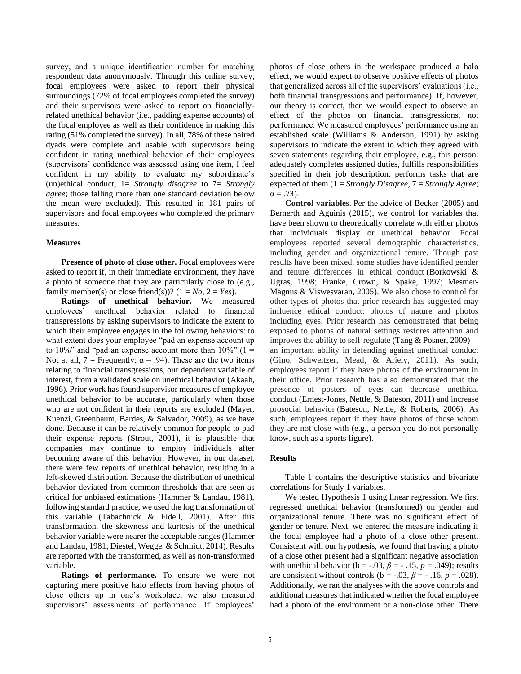survey, and a unique identification number for matching respondent data anonymously. Through this online survey, focal employees were asked to report their physical surroundings (72% of focal employees completed the survey) and their supervisors were asked to report on financiallyrelated unethical behavior (i.e., padding expense accounts) of the focal employee as well as their confidence in making this rating (51% completed the survey). In all, 78% of these paired dyads were complete and usable with supervisors being confident in rating unethical behavior of their employees (supervisors' confidence was assessed using one item, I feel confident in my ability to evaluate my subordinate's (un)ethical conduct, 1= *Strongly disagree* to 7= *Strongly agree*; those falling more than one standard deviation below the mean were excluded). This resulted in 181 pairs of supervisors and focal employees who completed the primary measures.

# **Measures**

**Presence of photo of close other.** Focal employees were asked to report if, in their immediate environment, they have a photo of someone that they are particularly close to (e.g., family member(s) or close friend(s))?  $(1 = No, 2 = Yes)$ .

**Ratings of unethical behavior.** We measured employees' unethical behavior related to financial transgressions by asking supervisors to indicate the extent to which their employee engages in the following behaviors: to what extent does your employee "pad an expense account up to 10%" and "pad an expense account more than  $10\%$ " (1 = Not at all,  $7 =$  Frequently;  $\alpha = .94$ ). These are the two items relating to financial transgressions, our dependent variable of interest, from a validated scale on unethical behavior [\(Akaah,](#page-14-18)  [1996\)](#page-14-18). Prior work has found supervisor measures of employee unethical behavior to be accurate, particularly when those who are not confident in their reports are excluded [\(Mayer,](#page-15-26)  [Kuenzi, Greenbaum, Bardes, & Salvador, 2009\)](#page-15-26), as we have done. Because it can be relatively common for people to pad their expense reports [\(Strout, 2001\)](#page-16-22), it is plausible that companies may continue to employ individuals after becoming aware of this behavior. However, in our dataset, there were few reports of unethical behavior, resulting in a left-skewed distribution. Because the distribution of unethical behavior deviated from common thresholds that are seen as critical for unbiased estimations (Hammer & Landau, 1981), following standard practice, we used the log transformation of this variable [\(Tabachnick & Fidell, 2001\)](#page-16-23). After this transformation, the skewness and kurtosis of the unethical behavior variable were nearer the acceptable ranges (Hammer and Landau, 1981; Diestel, Wegge, & Schmidt, 2014). Results are reported with the transformed, as well as non-transformed variable.

**Ratings of performance.** To ensure we were not capturing mere positive halo effects from having photos of close others up in one's workplace, we also measured supervisors' assessments of performance. If employees'

photos of close others in the workspace produced a halo effect, we would expect to observe positive effects of photos that generalized across all of the supervisors' evaluations (i.e., both financial transgressions and performance). If, however, our theory is correct, then we would expect to observe an effect of the photos on financial transgressions, not performance. We measured employees' performance using an established scale [\(Williams & Anderson, 1991\)](#page-16-24) by asking supervisors to indicate the extent to which they agreed with seven statements regarding their employee, e.g., this person: adequately completes assigned duties, fulfills responsibilities specified in their job description, performs tasks that are expected of them (1 = *Strongly Disagree*, 7 = *Strongly Agree*;  $\alpha = .73$ ).

**Control variables**. Per the advice of Becker [\(2005\)](#page-14-19) and [Bernerth and Aguinis \(2015\),](#page-14-20) we control for variables that have been shown to theoretically correlate with either photos that individuals display or unethical behavior. Focal employees reported several demographic characteristics, including gender and organizational tenure. Though past results have been mixed, some studies have identified gender and tenure differences in ethical conduct [\(Borkowski &](#page-14-21)  [Ugras, 1998;](#page-14-21) [Franke, Crown, & Spake, 1997;](#page-15-27) [Mesmer-](#page-15-28)[Magnus & Viswesvaran, 2005\)](#page-15-28). We also chose to control for other types of photos that prior research has suggested may influence ethical conduct: photos of nature and photos including eyes. Prior research has demonstrated that being exposed to photos of natural settings restores attention and improves the ability to self-regulate [\(Tang & Posner, 2009\)](#page-16-25) an important ability in defending against unethical conduct [\(Gino, Schweitzer, Mead, & Ariely, 2011\)](#page-15-29). As such, employees report if they have photos of the environment in their office. Prior research has also demonstrated that the presence of posters of eyes can decrease unethical conduct [\(Ernest-Jones, Nettle, & Bateson, 2011\)](#page-15-30) and increase prosocial behavior [\(Bateson, Nettle, & Roberts, 2006\)](#page-14-22). As such, employees report if they have photos of those whom they are not close with (e.g., a person you do not personally know, such as a sports figure).

# **Results**

Table 1 contains the descriptive statistics and bivariate correlations for Study 1 variables.

We tested Hypothesis 1 using linear regression. We first regressed unethical behavior (transformed) on gender and organizational tenure. There was no significant effect of gender or tenure. Next, we entered the measure indicating if the focal employee had a photo of a close other present. Consistent with our hypothesis, we found that having a photo of a close other present had a significant negative association with unethical behavior ( $b = -.03$ ,  $\beta = -.15$ ,  $p = .049$ ); results are consistent without controls ( $b = -.03$ ,  $\beta = -.16$ ,  $p = .028$ ). Additionally, we ran the analyses with the above controls and additional measures that indicated whether the focal employee had a photo of the environment or a non-close other. There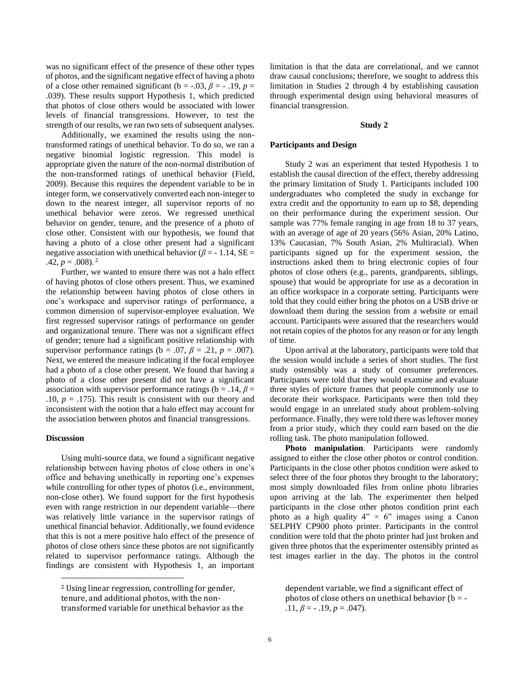was no significant effect of the presence of these other types of photos, and the significant negative effect of having a photo of a close other remained significant ( $b = -0.03$ ,  $\beta = -0.19$ ,  $p =$ .039). These results support Hypothesis 1, which predicted that photos of close others would be associated with lower levels of financial transgressions. However, to test the strength of our results, we ran two sets of subsequent analyses.

Additionally, we examined the results using the nontransformed ratings of unethical behavior. To do so, we ran a negative binomial logistic regression. This model is appropriate given the nature of the non-normal distribution of the non-transformed ratings of unethical behavior [\(Field,](#page-15-31)  [2009\)](#page-15-31). Because this requires the dependent variable to be in integer form, we conservatively converted each non-integer to down to the nearest integer, all supervisor reports of no unethical behavior were zeros. We regressed unethical behavior on gender, tenure, and the presence of a photo of close other. Consistent with our hypothesis, we found that having a photo of a close other present had a significant negative association with unethical behavior ( $\beta$  = -1.14, SE = .42,  $p = .008$ ).<sup>2</sup>

Further, we wanted to ensure there was not a halo effect of having photos of close others present. Thus, we examined the relationship between having photos of close others in one's workspace and supervisor ratings of performance, a common dimension of supervisor-employee evaluation. We first regressed supervisor ratings of performance on gender and organizational tenure. There was not a significant effect of gender; tenure had a significant positive relationship with supervisor performance ratings ( $b = .07$ ,  $\beta = .21$ ,  $p = .007$ ). Next, we entered the measure indicating if the focal employee had a photo of a close other present. We found that having a photo of a close other present did not have a significant association with supervisor performance ratings ( $b = .14$ ,  $\beta =$ .10,  $p = .175$ ). This result is consistent with our theory and inconsistent with the notion that a halo effect may account for the association between photos and financial transgressions.

#### **Discussion**

Using multi-source data, we found a significant negative relationship between having photos of close others in one's office and behaving unethically in reporting one's expenses while controlling for other types of photos (i.e., environment, non-close other). We found support for the first hypothesis even with range restriction in our dependent variable—there was relatively little variance in the supervisor ratings of unethical financial behavior. Additionally, we found evidence that this is not a mere positive halo effect of the presence of photos of close others since these photos are not significantly related to supervisor performance ratings. Although the findings are consistent with Hypothesis 1, an important limitation is that the data are correlational, and we cannot draw causal conclusions; therefore, we sought to address this limitation in Studies 2 through 4 by establishing causation through experimental design using behavioral measures of financial transgression.

#### **Study 2**

## **Participants and Design**

Study 2 was an experiment that tested Hypothesis 1 to establish the causal direction of the effect, thereby addressing the primary limitation of Study 1. Participants included 100 undergraduates who completed the study in exchange for extra credit and the opportunity to earn up to \$8, depending on their performance during the experiment session. Our sample was 77% female ranging in age from 18 to 37 years, with an average of age of 20 years (56% Asian, 20% Latino, 13% Caucasian, 7% South Asian, 2% Multiracial). When participants signed up for the experiment session, the instructions asked them to bring electronic copies of four photos of close others (e.g., parents, grandparents, siblings, spouse) that would be appropriate for use as a decoration in an office workspace in a corporate setting. Participants were told that they could either bring the photos on a USB drive or download them during the session from a website or email account. Participants were assured that the researchers would not retain copies of the photos for any reason or for any length of time.

Upon arrival at the laboratory, participants were told that the session would include a series of short studies. The first study ostensibly was a study of consumer preferences. Participants were told that they would examine and evaluate three styles of picture frames that people commonly use to decorate their workspace. Participants were then told they would engage in an unrelated study about problem-solving performance. Finally, they were told there was leftover money from a prior study, which they could earn based on the die rolling task. The photo manipulation followed.

**Photo manipulation**. Participants were randomly assigned to either the close other photos or control condition. Participants in the close other photos condition were asked to select three of the four photos they brought to the laboratory; most simply downloaded files from online photo libraries upon arriving at the lab. The experimenter then helped participants in the close other photos condition print each photo as a high quality  $4'' \times 6''$  images using a Canon SELPHY CP900 photo printer. Participants in the control condition were told that the photo printer had just broken and given three photos that the experimenter ostensibly printed as test images earlier in the day. The photos in the control

dependent variable, we find a significant effect of photos of close others on unethical behavior ( $b = -$ .11,  $\beta$  = - .19,  $p = .047$ ).

<sup>2</sup> Using linear regression, controlling for gender, tenure, and additional photos, with the nontransformed variable for unethical behavior as the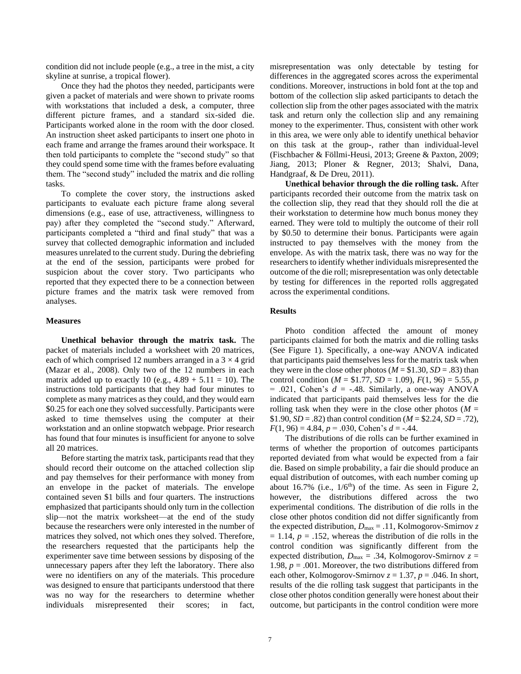condition did not include people (e.g., a tree in the mist, a city skyline at sunrise, a tropical flower).

Once they had the photos they needed, participants were given a packet of materials and were shown to private rooms with workstations that included a desk, a computer, three different picture frames, and a standard six-sided die. Participants worked alone in the room with the door closed. An instruction sheet asked participants to insert one photo in each frame and arrange the frames around their workspace. It then told participants to complete the "second study" so that they could spend some time with the frames before evaluating them. The "second study" included the matrix and die rolling tasks.

To complete the cover story, the instructions asked participants to evaluate each picture frame along several dimensions (e.g., ease of use, attractiveness, willingness to pay) after they completed the "second study." Afterward, participants completed a "third and final study" that was a survey that collected demographic information and included measures unrelated to the current study. During the debriefing at the end of the session, participants were probed for suspicion about the cover story. Two participants who reported that they expected there to be a connection between picture frames and the matrix task were removed from analyses.

#### **Measures**

**Unethical behavior through the matrix task.** The packet of materials included a worksheet with 20 matrices, each of which comprised 12 numbers arranged in a  $3 \times 4$  grid [\(Mazar et al., 2008\)](#page-15-7). Only two of the 12 numbers in each matrix added up to exactly 10 (e.g.,  $4.89 + 5.11 = 10$ ). The instructions told participants that they had four minutes to complete as many matrices as they could, and they would earn \$0.25 for each one they solved successfully. Participants were asked to time themselves using the computer at their workstation and an online stopwatch webpage. Prior research has found that four minutes is insufficient for anyone to solve all 20 matrices.

Before starting the matrix task, participants read that they should record their outcome on the attached collection slip and pay themselves for their performance with money from an envelope in the packet of materials. The envelope contained seven \$1 bills and four quarters. The instructions emphasized that participants should only turn in the collection slip—not the matrix worksheet—at the end of the study because the researchers were only interested in the number of matrices they solved, not which ones they solved. Therefore, the researchers requested that the participants help the experimenter save time between sessions by disposing of the unnecessary papers after they left the laboratory. There also were no identifiers on any of the materials. This procedure was designed to ensure that participants understood that there was no way for the researchers to determine whether individuals misrepresented their scores; in fact, misrepresentation was only detectable by testing for differences in the aggregated scores across the experimental conditions. Moreover, instructions in bold font at the top and bottom of the collection slip asked participants to detach the collection slip from the other pages associated with the matrix task and return only the collection slip and any remaining money to the experimenter. Thus, consistent with other work in this area, we were only able to identify unethical behavior on this task at the group-, rather than individual-level [\(Fischbacher & Föllmi-Heusi, 2013;](#page-15-32) [Greene & Paxton, 2009;](#page-15-33) [Jiang, 2013;](#page-15-34) [Ploner & Regner, 2013;](#page-16-26) [Shalvi, Dana,](#page-16-27)  [Handgraaf, & De Dreu, 2011\)](#page-16-27).

**Unethical behavior through the die rolling task.** After participants recorded their outcome from the matrix task on the collection slip, they read that they should roll the die at their workstation to determine how much bonus money they earned. They were told to multiply the outcome of their roll by \$0.50 to determine their bonus. Participants were again instructed to pay themselves with the money from the envelope. As with the matrix task, there was no way for the researchers to identify whether individuals misrepresented the outcome of the die roll; misrepresentation was only detectable by testing for differences in the reported rolls aggregated across the experimental conditions.

# **Results**

Photo condition affected the amount of money participants claimed for both the matrix and die rolling tasks (See Figure 1). Specifically, a one-way ANOVA indicated that participants paid themselves less for the matrix task when they were in the close other photos ( $M = $1.30, SD = .83$ ) than control condition ( $M = $1.77$ ,  $SD = 1.09$ ),  $F(1, 96) = 5.55$ , *p*  $= .021$ , Cohen's  $d = -.48$ . Similarly, a one-way ANOVA indicated that participants paid themselves less for the die rolling task when they were in the close other photos ( $M =$ \$1.90,  $SD = .82$ ) than control condition ( $M = 2.24$ ,  $SD = .72$ ), *F*(1, 96) = 4.84, *p* = .030, Cohen's *d* = -.44.

The distributions of die rolls can be further examined in terms of whether the proportion of outcomes participants reported deviated from what would be expected from a fair die. Based on simple probability, a fair die should produce an equal distribution of outcomes, with each number coming up about 16.7% (i.e.,  $1/6<sup>th</sup>$ ) of the time. As seen in Figure 2, however, the distributions differed across the two experimental conditions. The distribution of die rolls in the close other photos condition did not differ significantly from the expected distribution,  $D_{\text{max}} = .11$ , Kolmogorov-Smirnov *z*  $= 1.14$ ,  $p = .152$ , whereas the distribution of die rolls in the control condition was significantly different from the expected distribution,  $D_{\text{max}} = .34$ , Kolmogorov-Smirnov  $z =$ 1.98,  $p = .001$ . Moreover, the two distributions differed from each other, Kolmogorov-Smirnov  $z = 1.37$ ,  $p = .046$ . In short, results of the die rolling task suggest that participants in the close other photos condition generally were honest about their outcome, but participants in the control condition were more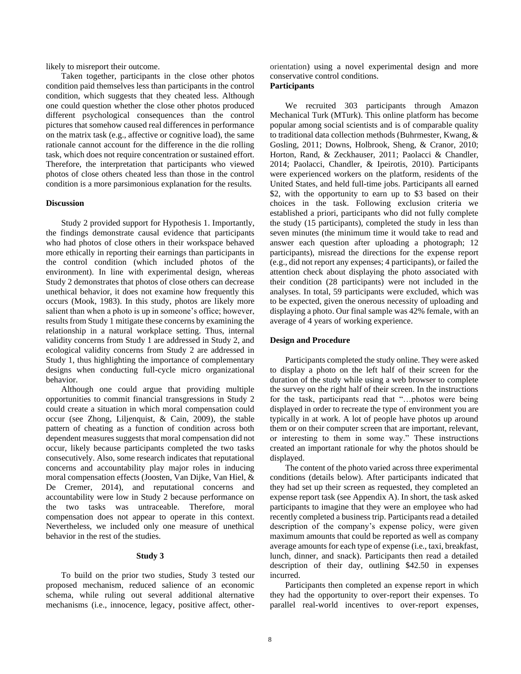likely to misreport their outcome.

Taken together, participants in the close other photos condition paid themselves less than participants in the control condition, which suggests that they cheated less. Although one could question whether the close other photos produced different psychological consequences than the control pictures that somehow caused real differences in performance on the matrix task (e.g., affective or cognitive load), the same rationale cannot account for the difference in the die rolling task, which does not require concentration or sustained effort. Therefore, the interpretation that participants who viewed photos of close others cheated less than those in the control condition is a more parsimonious explanation for the results.

#### **Discussion**

Study 2 provided support for Hypothesis 1. Importantly, the findings demonstrate causal evidence that participants who had photos of close others in their workspace behaved more ethically in reporting their earnings than participants in the control condition (which included photos of the environment). In line with experimental design, whereas Study 2 demonstrates that photos of close others can decrease unethical behavior, it does not examine how frequently this occurs [\(Mook, 1983\)](#page-15-35). In this study, photos are likely more salient than when a photo is up in someone's office; however, results from Study 1 mitigate these concerns by examining the relationship in a natural workplace setting. Thus, internal validity concerns from Study 1 are addressed in Study 2, and ecological validity concerns from Study 2 are addressed in Study 1, thus highlighting the importance of complementary designs when conducting full-cycle micro organizational behavior.

Although one could argue that providing multiple opportunities to commit financial transgressions in Study 2 could create a situation in which moral compensation could occur [\(see Zhong, Liljenquist, & Cain, 2009\)](#page-16-28), the stable pattern of cheating as a function of condition across both dependent measures suggests that moral compensation did not occur, likely because participants completed the two tasks consecutively. Also, some research indicates that reputational concerns and accountability play major roles in inducing moral compensation effects [\(Joosten, Van Dijke, Van Hiel, &](#page-15-36)  [De Cremer, 2014\)](#page-15-36), and reputational concerns and accountability were low in Study 2 because performance on the two tasks was untraceable. Therefore, moral compensation does not appear to operate in this context. Nevertheless, we included only one measure of unethical behavior in the rest of the studies.

#### **Study 3**

To build on the prior two studies, Study 3 tested our proposed mechanism, reduced salience of an economic schema, while ruling out several additional alternative mechanisms (i.e., innocence, legacy, positive affect, otherorientation) using a novel experimental design and more conservative control conditions.

# **Participants**

We recruited 303 participants through Amazon Mechanical Turk (MTurk). This online platform has become popular among social scientists and is of comparable quality to traditional data collection methods [\(Buhrmester, Kwang, &](#page-14-23)  [Gosling, 2011;](#page-14-23) [Downs, Holbrook, Sheng, & Cranor, 2010;](#page-14-24) [Horton, Rand, & Zeckhauser, 2011;](#page-15-37) [Paolacci & Chandler,](#page-15-38)  [2014;](#page-15-38) [Paolacci, Chandler, & Ipeirotis, 2010\)](#page-16-29). Participants were experienced workers on the platform, residents of the United States, and held full-time jobs. Participants all earned \$2, with the opportunity to earn up to \$3 based on their choices in the task. Following exclusion criteria we established a priori, participants who did not fully complete the study (15 participants), completed the study in less than seven minutes (the minimum time it would take to read and answer each question after uploading a photograph; 12 participants), misread the directions for the expense report (e.g., did not report any expenses; 4 participants), or failed the attention check about displaying the photo associated with their condition (28 participants) were not included in the analyses. In total, 59 participants were excluded, which was to be expected, given the onerous necessity of uploading and displaying a photo. Our final sample was 42% female, with an average of 4 years of working experience.

#### **Design and Procedure**

Participants completed the study online. They were asked to display a photo on the left half of their screen for the duration of the study while using a web browser to complete the survey on the right half of their screen. In the instructions for the task, participants read that "…photos were being displayed in order to recreate the type of environment you are typically in at work. A lot of people have photos up around them or on their computer screen that are important, relevant, or interesting to them in some way." These instructions created an important rationale for why the photos should be displayed.

The content of the photo varied across three experimental conditions (details below). After participants indicated that they had set up their screen as requested, they completed an expense report task (see Appendix A). In short, the task asked participants to imagine that they were an employee who had recently completed a business trip. Participants read a detailed description of the company's expense policy, were given maximum amounts that could be reported as well as company average amounts for each type of expense (i.e., taxi, breakfast, lunch, dinner, and snack). Participants then read a detailed description of their day, outlining \$42.50 in expenses incurred.

Participants then completed an expense report in which they had the opportunity to over-report their expenses. To parallel real-world incentives to over-report expenses,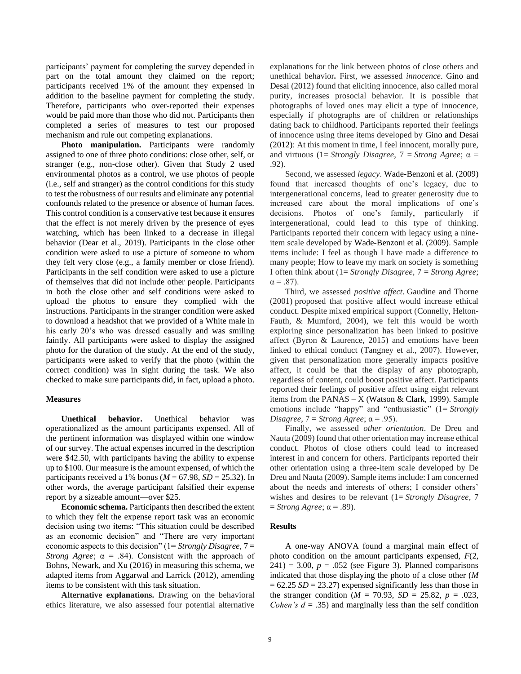participants' payment for completing the survey depended in part on the total amount they claimed on the report; participants received 1% of the amount they expensed in addition to the baseline payment for completing the study. Therefore, participants who over-reported their expenses would be paid more than those who did not. Participants then completed a series of measures to test our proposed mechanism and rule out competing explanations.

**Photo manipulation.** Participants were randomly assigned to one of three photo conditions: close other, self, or stranger (e.g., non-close other). Given that Study 2 used environmental photos as a control, we use photos of people (i.e., self and stranger) as the control conditions for this study to test the robustness of our results and eliminate any potential confounds related to the presence or absence of human faces. This control condition is a conservative test because it ensures that the effect is not merely driven by the presence of eyes watching, which has been linked to a decrease in illegal behavior [\(Dear et al., 2019\)](#page-14-2). Participants in the close other condition were asked to use a picture of someone to whom they felt very close (e.g., a family member or close friend). Participants in the self condition were asked to use a picture of themselves that did not include other people. Participants in both the close other and self conditions were asked to upload the photos to ensure they complied with the instructions. Participants in the stranger condition were asked to download a headshot that we provided of a White male in his early 20's who was dressed casually and was smiling faintly. All participants were asked to display the assigned photo for the duration of the study. At the end of the study, participants were asked to verify that the photo (within the correct condition) was in sight during the task. We also checked to make sure participants did, in fact, upload a photo.

#### **Measures**

**Unethical behavior.** Unethical behavior was operationalized as the amount participants expensed. All of the pertinent information was displayed within one window of our survey. The actual expenses incurred in the description were \$42.50, with participants having the ability to expense up to \$100. Our measure is the amount expensed, of which the participants received a 1% bonus ( $M = 67.98$ ,  $SD = 25.32$ ). In other words, the average participant falsified their expense report by a sizeable amount—over \$25.

**Economic schema.** Participants then described the extent to which they felt the expense report task was an economic decision using two items: "This situation could be described as an economic decision" and "There are very important economic aspects to this decision" (1= *Strongly Disagree*, 7 = *Strong Agree*;  $\alpha = .84$ ). Consistent with the approach of [Bohns, Newark, and Xu \(2016\)](#page-14-25) in measuring this schema, we adapted items from [Aggarwal and Larrick \(2012\),](#page-14-26) amending items to be consistent with this task situation.

**Alternative explanations.** Drawing on the behavioral ethics literature, we also assessed four potential alternative

explanations for the link between photos of close others and unethical behavior*.* First, we assessed *innocence*. [Gino and](#page-15-9)  [Desai \(2012\)](#page-15-9) found that eliciting innocence, also called moral purity, increases prosocial behavior. It is possible that photographs of loved ones may elicit a type of innocence, especially if photographs are of children or relationships dating back to childhood. Participants reported their feelings of innocence using three items developed by [Gino and Desai](#page-15-9)  [\(2012\):](#page-15-9) At this moment in time, I feel innocent, morally pure, and virtuous (1= *Strongly Disagree*, 7 = *Strong Agree*; α = .92).

Second, we assessed *legacy*. [Wade-Benzoni et al. \(2009\)](#page-16-6) found that increased thoughts of one's legacy, due to intergenerational concerns, lead to greater generosity due to increased care about the moral implications of one's decisions. Photos of one's family, particularly if intergenerational, could lead to this type of thinking. Participants reported their concern with legacy using a nineitem scale developed by [Wade-Benzoni et al. \(2009\).](#page-16-6) Sample items include: I feel as though I have made a difference to many people; How to leave my mark on society is something I often think about (1= *Strongly Disagree*, 7 = *Strong Agree*;  $\alpha = .87$ ).

Third, we assessed *positive affect*. [Gaudine and Thorne](#page-15-39)  [\(2001\)](#page-15-39) proposed that positive affect would increase ethical conduct. Despite mixed empirical support [\(Connelly, Helton-](#page-14-27)Fauth, & [Mumford, 2004\)](#page-14-27), we felt this would be worth exploring since personalization has been linked to positive affect [\(Byron & Laurence, 2015\)](#page-14-0) and emotions have been linked to ethical conduct (Tangney [et al., 2007\)](#page-16-30). However, given that personalization more generally impacts positive affect, it could be that the display of any photograph, regardless of content, could boost positive affect. Participants reported their feelings of positive affect using eight relevant items from the PANAS –  $X$  [\(Watson & Clark, 1999\)](#page-16-31). Sample emotions include "happy" and "enthusiastic" (1= *Strongly Disagree*,  $7 =$  *Strong Agree*;  $\alpha = .95$ ).

Finally, we assessed *other orientation*. [De Dreu and](#page-14-5)  [Nauta \(2009\)](#page-14-5) found that other orientation may increase ethical conduct. Photos of close others could lead to increased interest in and concern for others. Participants reported their other orientation using a three-item scale developed by [De](#page-14-5)  [Dreu and Nauta \(2009\).](#page-14-5) Sample items include: I am concerned about the needs and interests of others; I consider others' wishes and desires to be relevant (1= *Strongly Disagree*, 7  $=$  *Strong Agree*;  $\alpha$  = .89).

#### **Results**

A one-way ANOVA found a marginal main effect of photo condition on the amount participants expensed, *F*(2,  $241$ ) = 3.00,  $p = .052$  (see Figure 3). Planned comparisons indicated that those displaying the photo of a close other (*M*  $= 62.25 SD = 23.27$  expensed significantly less than those in the stranger condition ( $M = 70.93$ ,  $SD = 25.82$ ,  $p = .023$ , *Cohen's d* = .35) and marginally less than the self condition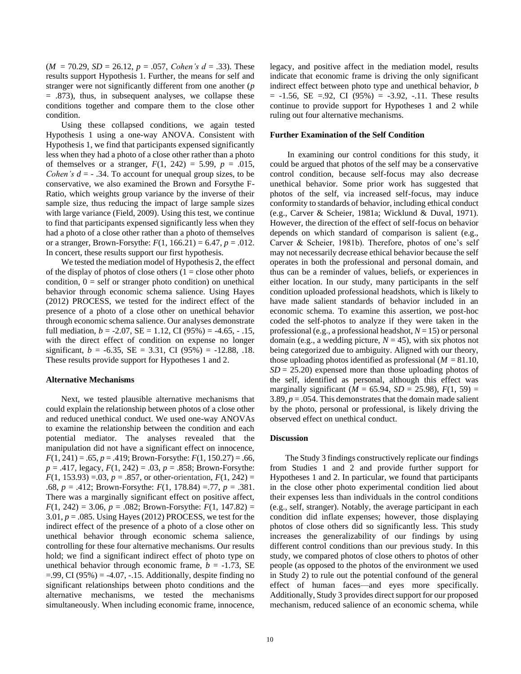$(M = 70.29, SD = 26.12, p = .057, Cohen's d = .33)$ . These results support Hypothesis 1. Further, the means for self and stranger were not significantly different from one another (*p* = .873), thus, in subsequent analyses, we collapse these conditions together and compare them to the close other condition.

Using these collapsed conditions, we again tested Hypothesis 1 using a one-way ANOVA. Consistent with Hypothesis 1, we find that participants expensed significantly less when they had a photo of a close other rather than a photo of themselves or a stranger,  $F(1, 242) = 5.99$ ,  $p = .015$ , *Cohen's*  $d = -0.34$ . To account for unequal group sizes, to be conservative, we also examined the Brown and Forsythe F-Ratio, which weights group variance by the inverse of their sample size, thus reducing the impact of large sample sizes with large variance [\(Field, 2009\)](#page-15-31). Using this test, we continue to find that participants expensed significantly less when they had a photo of a close other rather than a photo of themselves or a stranger, Brown-Forsythe:  $F(1, 166.21) = 6.47$ ,  $p = .012$ . In concert, these results support our first hypothesis.

We tested the mediation model of Hypothesis 2, the effect of the display of photos of close others  $(1 = close\ other\ photo$ condition,  $0 =$  self or stranger photo condition) on unethical behavior through economic schema salience. Using Hayes (2012) PROCESS, we tested for the indirect effect of the presence of a photo of a close other on unethical behavior through economic schema salience. Our analyses demonstrate full mediation,  $b = -2.07$ ,  $SE = 1.12$ ,  $CI (95%) = -4.65$ ,  $-.15$ , with the direct effect of condition on expense no longer significant,  $b = -6.35$ ,  $SE = 3.31$ , CI (95%) = -12.88, .18. These results provide support for Hypotheses 1 and 2.

### **Alternative Mechanisms**

Next, we tested plausible alternative mechanisms that could explain the relationship between photos of a close other and reduced unethical conduct. We used one-way ANOVAs to examine the relationship between the condition and each potential mediator. The analyses revealed that the manipulation did not have a significant effect on innocence,  $F(1, 241) = .65$ ,  $p = .419$ ; Brown-Forsythe:  $F(1, 150.27) = .66$ , *p* = .417, legacy, *F*(1, 242) = .03, *p* = .858; Brown-Forsythe:  $F(1, 153.93) = 0.03$ ,  $p = .857$ , or other-orientation,  $F(1, 242) =$ .68, *p* = .412; Brown-Forsythe: *F*(1, 178.84) =.77, *p* = .381. There was a marginally significant effect on positive affect,  $F(1, 242) = 3.06$ ,  $p = .082$ ; Brown-Forsythe:  $F(1, 147.82) =$ 3.01,  $p = .085$ . Using Hayes (2012) PROCESS, we test for the indirect effect of the presence of a photo of a close other on unethical behavior through economic schema salience, controlling for these four alternative mechanisms. Our results hold; we find a significant indirect effect of photo type on unethical behavior through economic frame,  $b = -1.73$ , SE  $=$ .99, CI (95%)  $=$  -4.07, -.15. Additionally, despite finding no significant relationships between photo conditions and the alternative mechanisms, we tested the mechanisms simultaneously. When including economic frame, innocence, legacy, and positive affect in the mediation model, results indicate that economic frame is driving the only significant indirect effect between photo type and unethical behavior, *b*  $= -1.56$ , SE  $= .92$ , CI (95%)  $= -3.92$ ,  $-.11$ . These results continue to provide support for Hypotheses 1 and 2 while ruling out four alternative mechanisms.

#### **Further Examination of the Self Condition**

In examining our control conditions for this study, it could be argued that photos of the self may be a conservative control condition, because self-focus may also decrease unethical behavior. Some prior work has suggested that photos of the self, via increased self-focus, may induce conformity to standards of behavior, including ethical conduct (e.g., Carver & Scheier, 1981a; Wicklund & Duval, 1971). However, the direction of the effect of self-focus on behavior depends on which standard of comparison is salient (e.g., Carver & Scheier, 1981b). Therefore, photos of one's self may not necessarily decrease ethical behavior because the self operates in both the professional and personal domain, and thus can be a reminder of values, beliefs, or experiences in either location. In our study, many participants in the self condition uploaded professional headshots, which is likely to have made salient standards of behavior included in an economic schema. To examine this assertion, we post-hoc coded the self-photos to analyze if they were taken in the professional (e.g., a professional headshot, *N* = 15) or personal domain (e.g., a wedding picture,  $N = 45$ ), with six photos not being categorized due to ambiguity. Aligned with our theory, those uploading photos identified as professional  $(M = 81.10)$ ,  $SD = 25.20$ ) expensed more than those uploading photos of the self, identified as personal, although this effect was marginally significant ( $M = 65.94$ ,  $SD = 25.98$ ),  $F(1, 59) =$ 3.89,  $p = 0.054$ . This demonstrates that the domain made salient by the photo, personal or professional, is likely driving the observed effect on unethical conduct.

## **Discussion**

The Study 3 findings constructively replicate our findings from Studies 1 and 2 and provide further support for Hypotheses 1 and 2. In particular, we found that participants in the close other photo experimental condition lied about their expenses less than individuals in the control conditions (e.g., self, stranger). Notably, the average participant in each condition did inflate expenses; however, those displaying photos of close others did so significantly less. This study increases the generalizability of our findings by using different control conditions than our previous study. In this study, we compared photos of close others to photos of other people (as opposed to the photos of the environment we used in Study 2) to rule out the potential confound of the general effect of human faces—and eyes more specifically. Additionally, Study 3 provides direct support for our proposed mechanism, reduced salience of an economic schema, while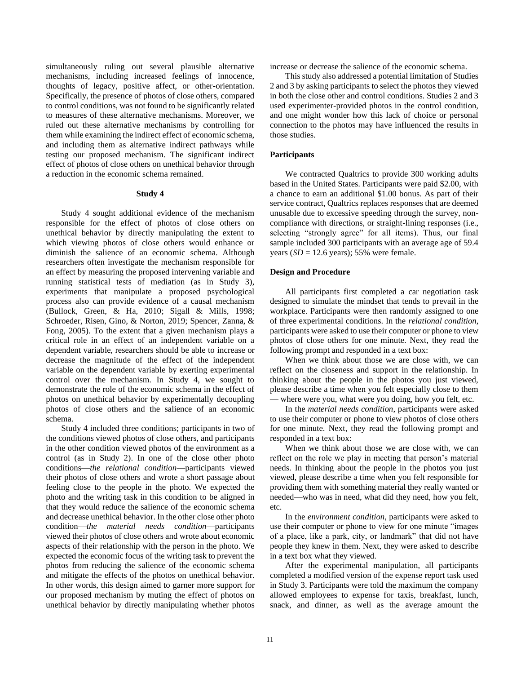simultaneously ruling out several plausible alternative mechanisms, including increased feelings of innocence, thoughts of legacy, positive affect, or other-orientation. Specifically, the presence of photos of close others, compared to control conditions, was not found to be significantly related to measures of these alternative mechanisms. Moreover, we ruled out these alternative mechanisms by controlling for them while examining the indirect effect of economic schema, and including them as alternative indirect pathways while testing our proposed mechanism. The significant indirect effect of photos of close others on unethical behavior through a reduction in the economic schema remained.

## **Study 4**

Study 4 sought additional evidence of the mechanism responsible for the effect of photos of close others on unethical behavior by directly manipulating the extent to which viewing photos of close others would enhance or diminish the salience of an economic schema. Although researchers often investigate the mechanism responsible for an effect by measuring the proposed intervening variable and running statistical tests of mediation (as in Study 3), experiments that manipulate a proposed psychological process also can provide evidence of a causal mechanism [\(Bullock, Green, & Ha, 2010;](#page-14-28) [Sigall & Mills, 1998;](#page-16-32) Schroeder, Risen, Gino, & Norton, 2019; [Spencer, Zanna, &](#page-16-33)  [Fong, 2005\)](#page-16-33). To the extent that a given mechanism plays a critical role in an effect of an independent variable on a dependent variable, researchers should be able to increase or decrease the magnitude of the effect of the independent variable on the dependent variable by exerting experimental control over the mechanism. In Study 4, we sought to demonstrate the role of the economic schema in the effect of photos on unethical behavior by experimentally decoupling photos of close others and the salience of an economic schema.

Study 4 included three conditions; participants in two of the conditions viewed photos of close others, and participants in the other condition viewed photos of the environment as a control (as in Study 2). In one of the close other photo conditions—*the relational condition*—participants viewed their photos of close others and wrote a short passage about feeling close to the people in the photo. We expected the photo and the writing task in this condition to be aligned in that they would reduce the salience of the economic schema and decrease unethical behavior. In the other close other photo condition—*the material needs condition*—participants viewed their photos of close others and wrote about economic aspects of their relationship with the person in the photo. We expected the economic focus of the writing task to prevent the photos from reducing the salience of the economic schema and mitigate the effects of the photos on unethical behavior. In other words, this design aimed to garner more support for our proposed mechanism by muting the effect of photos on unethical behavior by directly manipulating whether photos increase or decrease the salience of the economic schema.

This study also addressed a potential limitation of Studies 2 and 3 by asking participants to select the photos they viewed in both the close other and control conditions. Studies 2 and 3 used experimenter-provided photos in the control condition, and one might wonder how this lack of choice or personal connection to the photos may have influenced the results in those studies.

## **Participants**

We contracted Qualtrics to provide 300 working adults based in the United States. Participants were paid \$2.00, with a chance to earn an additional \$1.00 bonus. As part of their service contract, Qualtrics replaces responses that are deemed unusable due to excessive speeding through the survey, noncompliance with directions, or straight-lining responses (i.e., selecting "strongly agree" for all items). Thus, our final sample included 300 participants with an average age of 59.4 years  $(SD = 12.6$  years); 55% were female.

#### **Design and Procedure**

All participants first completed a car negotiation task designed to simulate the mindset that tends to prevail in the workplace. Participants were then randomly assigned to one of three experimental conditions. In the *relational condition*, participants were asked to use their computer or phone to view photos of close others for one minute. Next, they read the following prompt and responded in a text box:

When we think about those we are close with, we can reflect on the closeness and support in the relationship. In thinking about the people in the photos you just viewed, please describe a time when you felt especially close to them — where were you, what were you doing, how you felt, etc.

In the *material needs condition*, participants were asked to use their computer or phone to view photos of close others for one minute. Next, they read the following prompt and responded in a text box:

When we think about those we are close with, we can reflect on the role we play in meeting that person's material needs. In thinking about the people in the photos you just viewed, please describe a time when you felt responsible for providing them with something material they really wanted or needed—who was in need, what did they need, how you felt, etc.

In the *environment condition*, participants were asked to use their computer or phone to view for one minute "images of a place, like a park, city, or landmark" that did not have people they knew in them. Next, they were asked to describe in a text box what they viewed.

After the experimental manipulation, all participants completed a modified version of the expense report task used in Study 3. Participants were told the maximum the company allowed employees to expense for taxis, breakfast, lunch, snack, and dinner, as well as the average amount the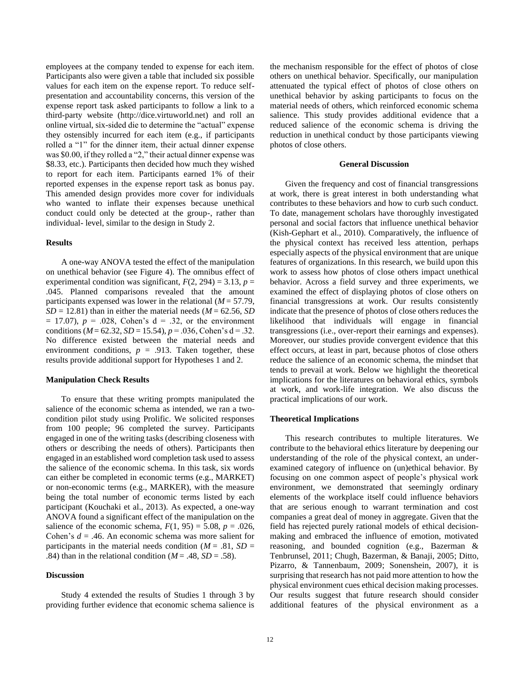employees at the company tended to expense for each item. Participants also were given a table that included six possible values for each item on the expense report. To reduce selfpresentation and accountability concerns, this version of the expense report task asked participants to follow a link to a third-party website (http://dice.virtuworld.net) and roll an online virtual, six-sided die to determine the "actual" expense they ostensibly incurred for each item (e.g., if participants rolled a "1" for the dinner item, their actual dinner expense was \$0.00, if they rolled a "2," their actual dinner expense was \$8.33, etc.). Participants then decided how much they wished to report for each item. Participants earned 1% of their reported expenses in the expense report task as bonus pay. This amended design provides more cover for individuals who wanted to inflate their expenses because unethical conduct could only be detected at the group-, rather than individual- level, similar to the design in Study 2.

# **Results**

A one-way ANOVA tested the effect of the manipulation on unethical behavior (see Figure 4). The omnibus effect of experimental condition was significant,  $F(2, 294) = 3.13$ ,  $p =$ .045. Planned comparisons revealed that the amount participants expensed was lower in the relational (*M* = 57.79,  $SD = 12.81$ ) than in either the material needs ( $M = 62.56$ , *SD*  $= 17.07$ ,  $p = .028$ , Cohen's  $d = .32$ , or the environment conditions ( $M = 62.32$ ,  $SD = 15.54$ ),  $p = .036$ , Cohen's d = .32. No difference existed between the material needs and environment conditions,  $p = .913$ . Taken together, these results provide additional support for Hypotheses 1 and 2.

## **Manipulation Check Results**

To ensure that these writing prompts manipulated the salience of the economic schema as intended, we ran a twocondition pilot study using Prolific. We solicited responses from 100 people; 96 completed the survey. Participants engaged in one of the writing tasks (describing closeness with others or describing the needs of others). Participants then engaged in an established word completion task used to assess the salience of the economic schema. In this task, six words can either be completed in economic terms (e.g., MARKET) or non-economic terms (e.g., MARKER), with the measure being the total number of economic terms listed by each participant (Kouchaki et al., 2013). As expected, a one-way ANOVA found a significant effect of the manipulation on the salience of the economic schema,  $F(1, 95) = 5.08$ ,  $p = .026$ , Cohen's *d* = .46. An economic schema was more salient for participants in the material needs condition ( $M = .81$ ,  $SD =$ .84) than in the relational condition ( $M = .48$ ,  $SD = .58$ ).

# **Discussion**

Study 4 extended the results of Studies 1 through 3 by providing further evidence that economic schema salience is

the mechanism responsible for the effect of photos of close others on unethical behavior. Specifically, our manipulation attenuated the typical effect of photos of close others on unethical behavior by asking participants to focus on the material needs of others, which reinforced economic schema salience. This study provides additional evidence that a reduced salience of the economic schema is driving the reduction in unethical conduct by those participants viewing photos of close others.

## **General Discussion**

Given the frequency and cost of financial transgressions at work, there is great interest in both understanding what contributes to these behaviors and how to curb such conduct. To date, management scholars have thoroughly investigated personal and social factors that influence unethical behavior [\(Kish-Gephart et al., 2010\)](#page-15-1). Comparatively, the influence of the physical context has received less attention, perhaps especially aspects of the physical environment that are unique features of organizations. In this research, we build upon this work to assess how photos of close others impact unethical behavior. Across a field survey and three experiments, we examined the effect of displaying photos of close others on financial transgressions at work. Our results consistently indicate that the presence of photos of close others reduces the likelihood that individuals will engage in financial transgressions (i.e., over-report their earnings and expenses). Moreover, our studies provide convergent evidence that this effect occurs, at least in part, because photos of close others reduce the salience of an economic schema, the mindset that tends to prevail at work. Below we highlight the theoretical implications for the literatures on behavioral ethics, symbols at work, and work-life integration. We also discuss the practical implications of our work.

#### **Theoretical Implications**

This research contributes to multiple literatures. We contribute to the behavioral ethics literature by deepening our understanding of the role of the physical context, an underexamined category of influence on (un)ethical behavior. By focusing on one common aspect of people's physical work environment, we demonstrated that seemingly ordinary elements of the workplace itself could influence behaviors that are serious enough to warrant termination and cost companies a great deal of money in aggregate. Given that the field has rejected purely rational models of ethical decisionmaking and embraced the influence of emotion, motivated reasoning, and bounded cognition (e.g., [Bazerman &](#page-14-29)  [Tenbrunsel, 2011;](#page-14-29) [Chugh, Bazerman, & Banaji, 2005;](#page-14-30) [Ditto,](#page-14-31)  [Pizarro, & Tannenbaum, 2009;](#page-14-31) [Sonenshein, 2007\)](#page-16-34), it is surprising that research has not paid more attention to how the physical environment cues ethical decision making processes. Our results suggest that future research should consider additional features of the physical environment as a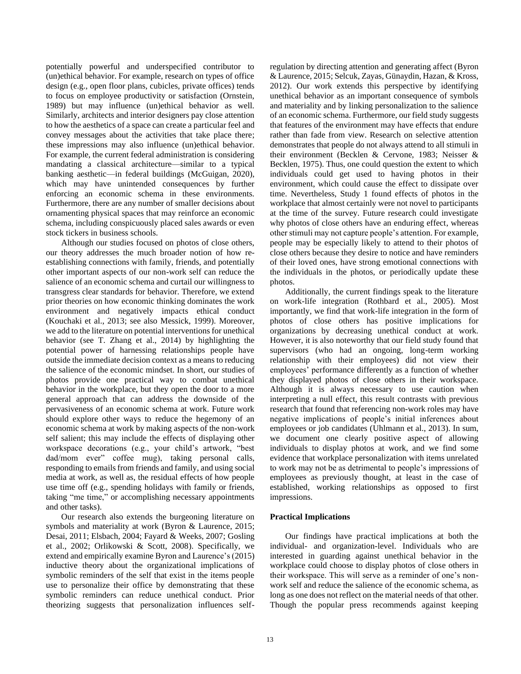potentially powerful and underspecified contributor to (un)ethical behavior. For example, research on types of office design (e.g., open floor plans, cubicles, private offices) tends to focus on employee productivity or satisfaction (Ornstein, 1989) but may influence (un)ethical behavior as well. Similarly, architects and interior designers pay close attention to how the aesthetics of a space can create a particular feel and convey messages about the activities that take place there; these impressions may also influence (un)ethical behavior. For example, the current federal administration is considering mandating a classical architecture—similar to a typical banking aesthetic—in federal buildings (McGuigan, 2020), which may have unintended consequences by further enforcing an economic schema in these environments. Furthermore, there are any number of smaller decisions about ornamenting physical spaces that may reinforce an economic schema, including conspicuously placed sales awards or even stock tickers in business schools.

Although our studies focused on photos of close others, our theory addresses the much broader notion of how reestablishing connections with family, friends, and potentially other important aspects of our non-work self can reduce the salience of an economic schema and curtail our willingness to transgress clear standards for behavior. Therefore, we extend prior theories on how economic thinking dominates the work environment and negatively impacts ethical conduct [\(Kouchaki et al., 2013;](#page-15-11) [see also Messick, 1999\)](#page-15-13). Moreover, we add to the literature on potential interventions for unethical behavior (see [T. Zhang et al., 2014\)](#page-16-0) by highlighting the potential power of harnessing relationships people have outside the immediate decision context as a means to reducing the salience of the economic mindset. In short, our studies of photos provide one practical way to combat unethical behavior in the workplace, but they open the door to a more general approach that can address the downside of the pervasiveness of an economic schema at work. Future work should explore other ways to reduce the hegemony of an economic schema at work by making aspects of the non-work self salient; this may include the effects of displaying other workspace decorations (e.g., your child's artwork, "best dad/mom ever" coffee mug), taking personal calls, responding to emails from friends and family, and using social media at work, as well as, the residual effects of how people use time off (e.g., spending holidays with family or friends, taking "me time," or accomplishing necessary appointments and other tasks).

Our research also extends the burgeoning literature on symbols and materiality at work [\(Byron & Laurence, 2015;](#page-14-0) [Desai, 2011;](#page-14-6) [Elsbach, 2004;](#page-15-14) [Fayard & Weeks, 2007;](#page-15-2) [Gosling](#page-15-15)  [et al., 2002;](#page-15-15) [Orlikowski & Scott, 2008\)](#page-15-5). Specifically, we extend and empirically examine Byron and Laurence's [\(2015\)](#page-14-0) inductive theory about the organizational implications of symbolic reminders of the self that exist in the items people use to personalize their office by demonstrating that these symbolic reminders can reduce unethical conduct. Prior theorizing suggests that personalization influences self-

regulation by directing attention and generating affect [\(Byron](#page-14-0)  [& Laurence, 2015;](#page-14-0) [Selcuk, Zayas, Günaydin, Hazan, & Kross,](#page-16-35)  [2012\)](#page-16-35). Our work extends this perspective by identifying unethical behavior as an important consequence of symbols and materiality and by linking personalization to the salience of an economic schema. Furthermore, our field study suggests that features of the environment may have effects that endure rather than fade from view. Research on selective attention demonstrates that people do not always attend to all stimuli in their environment [\(Becklen & Cervone,](#page-14-32) 1983; [Neisser &](#page-15-40)  [Becklen, 1975\)](#page-15-40). Thus, one could question the extent to which individuals could get used to having photos in their environment, which could cause the effect to dissipate over time. Nevertheless, Study 1 found effects of photos in the workplace that almost certainly were not novel to participants at the time of the survey. Future research could investigate why photos of close others have an enduring effect, whereas other stimuli may not capture people's attention. For example, people may be especially likely to attend to their photos of close others because they desire to notice and have reminders of their loved ones, have strong emotional connections with the individuals in the photos, or periodically update these photos.

Additionally, the current findings speak to the literature on work-life integration [\(Rothbard et al., 2005\)](#page-16-12). Most importantly, we find that work-life integration in the form of photos of close others has positive implications for organizations by decreasing unethical conduct at work. However, it is also noteworthy that our field study found that supervisors (who had an ongoing, long-term working relationship with their employees) did not view their employees' performance differently as a function of whether they displayed photos of close others in their workspace. Although it is always necessary to use caution when interpreting a null effect, this result contrasts with previous research that found that referencing non-work roles may have negative implications of people's initial inferences about employees or job candidates [\(Uhlmann et al., 2013\)](#page-16-4). In sum, we document one clearly positive aspect of allowing individuals to display photos at work, and we find some evidence that workplace personalization with items unrelated to work may not be as detrimental to people's impressions of employees as previously thought, at least in the case of established, working relationships as opposed to first impressions.

# **Practical Implications**

Our findings have practical implications at both the individual- and organization-level. Individuals who are interested in guarding against unethical behavior in the workplace could choose to display photos of close others in their workspace. This will serve as a reminder of one's nonwork self and reduce the salience of the economic schema, as long as one does not reflect on the material needs of that other. Though the popular press recommends against keeping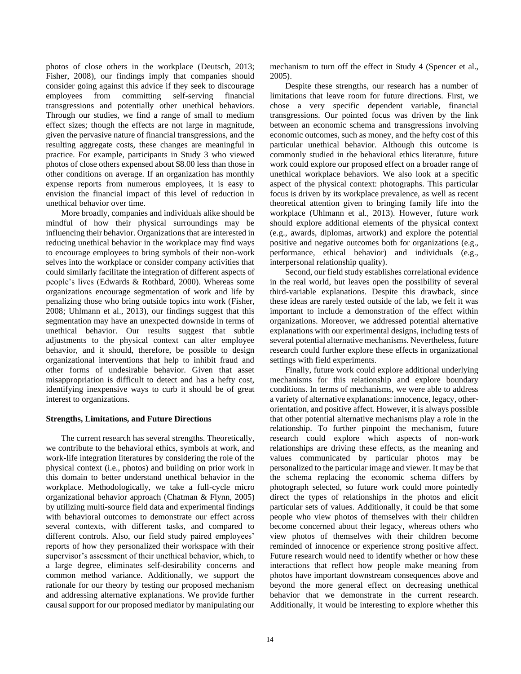photos of close others in the workplace [\(Deutsch, 2013;](#page-14-33) [Fisher, 2008\)](#page-15-17), our findings imply that companies should consider going against this advice if they seek to discourage employees from committing self-serving financial transgressions and potentially other unethical behaviors. Through our studies, we find a range of small to medium effect sizes; though the effects are not large in magnitude, given the pervasive nature of financial transgressions, and the resulting aggregate costs, these changes are meaningful in practice. For example, participants in Study 3 who viewed photos of close others expensed about \$8.00 less than those in other conditions on average. If an organization has monthly expense reports from numerous employees, it is easy to envision the financial impact of this level of reduction in unethical behavior over time.

More broadly, companies and individuals alike should be mindful of how their physical surroundings may be influencing their behavior. Organizations that are interested in reducing unethical behavior in the workplace may find ways to encourage employees to bring symbols of their non-work selves into the workplace or consider company activities that could similarly facilitate the integration of different aspects of people's lives [\(Edwards & Rothbard, 2000\)](#page-15-16). Whereas some organizations encourage segmentation of work and life by penalizing those who bring outside topics into work [\(Fisher,](#page-15-17)  [2008;](#page-15-17) [Uhlmann et al., 2013\)](#page-16-4), our findings suggest that this segmentation may have an unexpected downside in terms of unethical behavior. Our results suggest that subtle adjustments to the physical context can alter employee behavior, and it should, therefore, be possible to design organizational interventions that help to inhibit fraud and other forms of undesirable behavior. Given that asset misappropriation is difficult to detect and has a hefty cost, identifying inexpensive ways to curb it should be of great interest to organizations.

# **Strengths, Limitations, and Future Directions**

The current research has several strengths. Theoretically, we contribute to the behavioral ethics, symbols at work, and work-life integration literatures by considering the role of the physical context (i.e., photos) and building on prior work in this domain to better understand unethical behavior in the workplace. Methodologically, we take a full-cycle micro organizational behavior approach [\(Chatman & Flynn, 2005\)](#page-14-8) by utilizing multi-source field data and experimental findings with behavioral outcomes to demonstrate our effect across several contexts, with different tasks, and compared to different controls. Also, our field study paired employees' reports of how they personalized their workspace with their supervisor's assessment of their unethical behavior, which, to a large degree, eliminates self-desirability concerns and common method variance. Additionally, we support the rationale for our theory by testing our proposed mechanism and addressing alternative explanations. We provide further causal support for our proposed mediator by manipulating our mechanism to turn off the effect in Study 4 [\(Spencer et al.,](#page-16-33)  [2005\)](#page-16-33).

Despite these strengths, our research has a number of limitations that leave room for future directions. First, we chose a very specific dependent variable, financial transgressions. Our pointed focus was driven by the link between an economic schema and transgressions involving economic outcomes, such as money, and the hefty cost of this particular unethical behavior. Although this outcome is commonly studied in the behavioral ethics literature, future work could explore our proposed effect on a broader range of unethical workplace behaviors. We also look at a specific aspect of the physical context: photographs. This particular focus is driven by its workplace prevalence, as well as recent theoretical attention given to bringing family life into the workplace [\(Uhlmann et al., 2013\)](#page-16-4). However, future work should explore additional elements of the physical context (e.g., awards, diplomas, artwork) and explore the potential positive and negative outcomes both for organizations (e.g., performance, ethical behavior) and individuals (e.g., interpersonal relationship quality).

Second, our field study establishes correlational evidence in the real world, but leaves open the possibility of several third-variable explanations. Despite this drawback, since these ideas are rarely tested outside of the lab, we felt it was important to include a demonstration of the effect within organizations. Moreover, we addressed potential alternative explanations with our experimental designs, including tests of several potential alternative mechanisms. Nevertheless, future research could further explore these effects in organizational settings with field experiments.

Finally, future work could explore additional underlying mechanisms for this relationship and explore boundary conditions. In terms of mechanisms, we were able to address a variety of alternative explanations: innocence, legacy, otherorientation, and positive affect. However, it is always possible that other potential alternative mechanisms play a role in the relationship. To further pinpoint the mechanism, future research could explore which aspects of non-work relationships are driving these effects, as the meaning and values communicated by particular photos may be personalized to the particular image and viewer. It may be that the schema replacing the economic schema differs by photograph selected, so future work could more pointedly direct the types of relationships in the photos and elicit particular sets of values. Additionally, it could be that some people who view photos of themselves with their children become concerned about their legacy, whereas others who view photos of themselves with their children become reminded of innocence or experience strong positive affect. Future research would need to identify whether or how these interactions that reflect how people make meaning from photos have important downstream consequences above and beyond the more general effect on decreasing unethical behavior that we demonstrate in the current research. Additionally, it would be interesting to explore whether this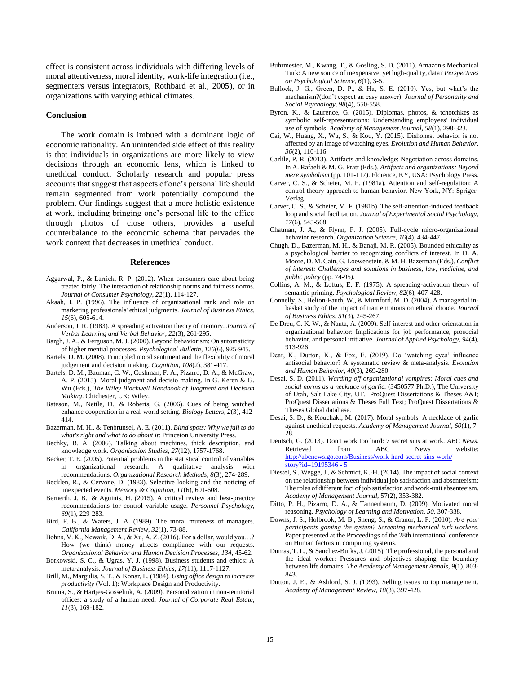effect is consistent across individuals with differing levels of moral attentiveness, moral identity, work-life integration [\(i.e.,](#page-16-12)  [segmenters versus integrators, Rothbard et al., 2005\)](#page-16-12), or in organizations with varying ethical climates.

#### **Conclusion**

The work domain is imbued with a dominant logic of economic rationality. An unintended side effect of this reality is that individuals in organizations are more likely to view decisions through an economic lens, which is linked to unethical conduct. Scholarly research and popular press accounts that suggest that aspects of one's personal life should remain segmented from work potentially compound the problem. Our findings suggest that a more holistic existence at work, including bringing one's personal life to the office through photos of close others, provides a useful counterbalance to the economic schema that pervades the work context that decreases in unethical conduct.

#### **References**

- <span id="page-14-26"></span>Aggarwal, P., & Larrick, R. P. (2012). When consumers care about being treated fairly: The interaction of relationship norms and fairness norms. *Journal of Consumer Psychology, 22*(1), 114-127.
- <span id="page-14-18"></span>Akaah, I. P. (1996). The influence of organizational rank and role on marketing professionals' ethical judgments. *Journal of Business Ethics, 15*(6), 605-614.
- <span id="page-14-15"></span>Anderson, J. R. (1983). A spreading activation theory of memory. *Journal of Verbal Learning and Verbal Behavior, 22*(3), 261-295.
- <span id="page-14-16"></span>Bargh, J. A., & Ferguson, M. J. (2000). Beyond behaviorism: On automaticity of higher mential processes. *Psychological Bulletin, 126*(6), 925-945.
- <span id="page-14-11"></span>Bartels, D. M. (2008). Principled moral sentiment and the flexibility of moral judgement and decision making. *Cognition, 108*(2), 381-417.
- <span id="page-14-12"></span>Bartels, D. M., Bauman, C. W., Cushman, F. A., Pizarro, D. A., & McGraw, A. P. (2015). Moral judgment and decisio making. In G. Keren & G. Wu (Eds.), *The Wiley Blackwell Handbook of Judgment and Decision Making*. Chichester, UK: Wiley.
- <span id="page-14-22"></span>Bateson, M., Nettle, D., & Roberts, G. (2006). Cues of being watched enhance cooperation in a real-world setting. *Biology Letters, 2*(3), 412- 414.
- <span id="page-14-29"></span>Bazerman, M. H., & Tenbrunsel, A. E. (2011). *Blind spots: Why we fail to do what's right and what to do about it*: Princeton University Press.
- <span id="page-14-10"></span>Bechky, B. A. (2006). Talking about machines, thick description, and knowledge work. *Organization Studies, 27*(12), 1757-1768.
- <span id="page-14-19"></span>Becker, T. E. (2005). Potential problems in the statistical control of variables in organizational research: A qualitative analysis with recommendations. *Organizational Research Methods, 8*(3), 274-289.
- <span id="page-14-32"></span>Becklen, R., & Cervone, D. (1983). Selective looking and the noticing of unexpected events. *Memory & Cognition, 11*(6), 601-608.
- <span id="page-14-20"></span>Bernerth, J. B., & Aguinis, H. (2015). A critical review and best-practice recommendations for control variable usage. *Personnel Psychology, 69*(1), 229-283.
- <span id="page-14-14"></span>Bird, F. B., & Waters, J. A. (1989). The moral muteness of managers. *California Management Review, 32*(1), 73-88.
- <span id="page-14-25"></span>Bohns, V. K., Newark, D. A., & Xu, A. Z. (2016). For a dollar, would you…? How (we think) money affects compliance with our requests. *Organizational Behavior and Human Decision Processes, 134*, 45-62.
- <span id="page-14-21"></span>Borkowski, S. C., & Ugras, Y. J. (1998). Business students and ethics: A meta-analysis. *Journal of Business Ethics, 17*(11), 1117-1127.
- <span id="page-14-4"></span>Brill, M., Margulis, S. T., & Konar, E. (1984). *Using office design to increase productivity* (Vol. 1): Workplace Design and Productivity.
- <span id="page-14-3"></span>Brunia, S., & Hartjes-Gosselink, A. (2009). Personalization in non-territorial offices: a study of a human need. *Journal of Corporate Real Estate, 11*(3), 169-182.
- <span id="page-14-23"></span>Buhrmester, M., Kwang, T., & Gosling, S. D. (2011). Amazon's Mechanical Turk: A new source of inexpensive, yet high-quality, data? *Perspectives on Psychological Science, 6*(1), 3-5.
- <span id="page-14-28"></span>Bullock, J. G., Green, D. P., & Ha, S. E. (2010). Yes, but what's the mechanism?(don't expect an easy answer). *Journal of Personality and Social Psychology, 98*(4), 550-558.
- <span id="page-14-0"></span>Byron, K., & Laurence, G. (2015). Diplomas, photos, & tchotchkes as symbolic self-representations: Understanding employees' individual use of symbols. *Academy of Management Journal, 58*(1), 298-323.
- Cai, W., Huang, X., Wu, S., & Kou, Y. (2015). Dishonest behavior is not affected by an image of watching eyes. *Evolution and Human Behavior, 36*(2), 110-116.
- <span id="page-14-9"></span>Carlile, P. R. (2013). Artifacts and knowledge: Negotiation across domains. In A. Rafaeli & M. G. Pratt (Eds.), *Artifacts and organizations: Beyond mere symbolism* (pp. 101-117). Florence, KY, USA: Psychology Press.
- Carver, C. S., & Scheier, M. F. (1981a). Attention and self-regulation: A control theory approach to human behavior. New York, NY: Spriger-Verlag.
- Carver, C. S., & Scheier, M. F. (1981b). The self-attention-induced feedback loop and social facilitation. *Journal of Experimental Social Psychology, 17*(6), 545-568.
- <span id="page-14-8"></span>Chatman, J. A., & Flynn, F. J. (2005). Full-cycle micro-organizational behavior research. *Organization Science, 16*(4), 434-447.
- <span id="page-14-30"></span>Chugh, D., Bazerman, M. H., & Banaji, M. R. (2005). Bounded ethicality as a psychological barrier to recognizing conflicts of interest. In D. A. Moore, D. M. Cain, G. Loewenstein, & M. H. Bazerman (Eds.), *Conflict of interest: Challenges and solutions in business, law, medicine, and public policy* (pp. 74-95).
- <span id="page-14-17"></span>Collins, A. M., & Loftus, E. F. (1975). A spreading-activation theory of semantic priming. *Psychological Review, 82*(6), 407-428.
- <span id="page-14-27"></span>Connelly, S., Helton-Fauth, W., & Mumford, M. D. (2004). A managerial inbasket study of the impact of trait emotions on ethical choice. *Journal of Business Ethics, 51*(3), 245-267.
- <span id="page-14-5"></span>De Dreu, C. K. W., & Nauta, A. (2009). Self-interest and other-orientation in organizational behavior: Implications for job performance, prosocial behavior, and personal initiative. *Journal of Applied Psychology, 94*(4), 913-926.
- <span id="page-14-2"></span>Dear, K., Dutton, K., & Fox, E. (2019). Do 'watching eyes' influence antisocial behavior? A systematic review & meta-analysis. *Evolution and Human Behavior, 40*(3), 269-280.
- <span id="page-14-6"></span>Desai, S. D. (2011). *Warding off organizational vampires: Moral cues and social norms as a necklace of garlic.* (3450577 Ph.D.), The University of Utah, Salt Lake City, UT. ProQuest Dissertations & Theses A&I; ProQuest Dissertations & Theses Full Text; ProQuest Dissertations & Theses Global database.
- <span id="page-14-1"></span>Desai, S. D., & Kouchaki, M. (2017). Moral symbols: A necklace of garlic against unethical requests. *Academy of Management Journal, 60*(1), 7- 28.
- <span id="page-14-33"></span>Deutsch, G. (2013). Don't work too hard: 7 secret sins at work. *ABC News*. Retrieved from ABC News website: [http://abcnews.go.com/Business/work-hard-secret-sins-work/](http://abcnews.go.com/Business/work-hard-secret-sins-work/story?id=19195346#5)  [story?id=19195346 -](http://abcnews.go.com/Business/work-hard-secret-sins-work/story?id=19195346#5) 5
- <span id="page-14-31"></span>Diestel, S., Wegge, J., & Schmidt, K.-H. (2014). The impact of social context on the relationship between individual job satisfaction and absenteeism: The roles of different foci of job satisfaction and work-unit absenteeism. *Academy of Management Journal,* 57(2), 353-382.
- Ditto, P. H., Pizarro, D. A., & Tannenbaum, D. (2009). Motivated moral reasoning. *Psychology of Learning and Motivation, 50*, 307-338.
- <span id="page-14-24"></span>Downs, J. S., Holbrook, M. B., Sheng, S., & Cranor, L. F. (2010). *Are your participants gaming the system? Screening mechanical turk workers.* Paper presented at the Proceedings of the 28th international conference on Human factors in computing systems.
- <span id="page-14-7"></span>Dumas, T. L., & Sanchez-Burks, J. (2015). The professional, the personal and the ideal worker: Pressures and objectives shaping the boundary between life domains. *The Academy of Management Annals, 9*(1), 803- 843.
- <span id="page-14-13"></span>Dutton, J. E., & Ashford, S. J. (1993). Selling issues to top management. *Academy of Management Review, 18*(3), 397-428.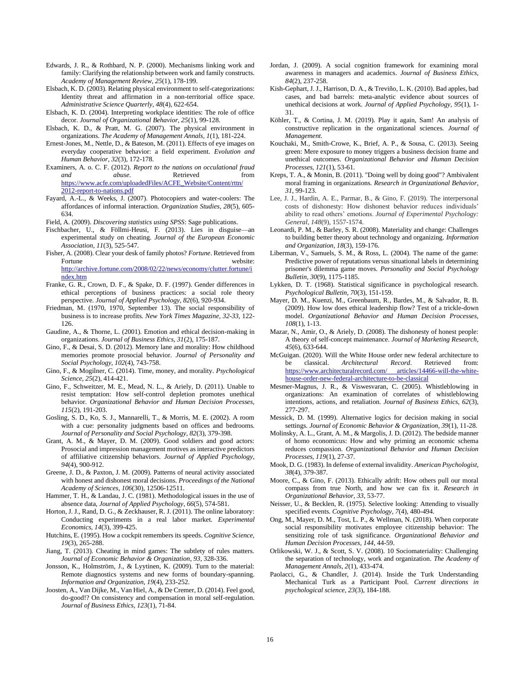- <span id="page-15-16"></span>Edwards, J. R., & Rothbard, N. P. (2000). Mechanisms linking work and family: Clarifying the relationship between work and family constructs. *Academy of Management Review, 25*(1), 178-199.
- <span id="page-15-22"></span>Elsbach, K. D. (2003). Relating physical environment to self-categorizations: Identity threat and affirmation in a non-territorial office space. *Administrative Science Quarterly, 48*(4), 622-654.
- <span id="page-15-14"></span>Elsbach, K. D. (2004). Interpreting workplace identities: The role of office decor. *Journal of Organizational Behavior, 25*(1), 99-128.
- <span id="page-15-8"></span>Elsbach, K. D., & Pratt, M. G. (2007). The physical environment in organizations. *The Academy of Management Annals, 1*(1), 181-224.
- <span id="page-15-30"></span>Ernest-Jones, M., Nettle, D., & Bateson, M. (2011). Effects of eye images on everyday cooperative behavior: a field experiment. *Evolution and Human Behavior, 32*(3), 172-178.
- <span id="page-15-0"></span>Examiners, A. o. C. F. (2012). *Report to the nations on occulational fraud and abuse*. Retrieved from [https://www.acfe.com/uploadedFiles/ACFE\\_Website/Content/rttn/](https://www.acfe.com/uploadedFiles/ACFE_Website/Content/rttn/2012-report-to-nations.pdf)  [2012-report-to-nations.pdf](https://www.acfe.com/uploadedFiles/ACFE_Website/Content/rttn/2012-report-to-nations.pdf)
- <span id="page-15-2"></span>Fayard, A.-L., & Weeks, J. (2007). Photocopiers and water-coolers: The affordances of informal interaction. *Organization Studies, 28*(5), 605- 634.
- <span id="page-15-31"></span>Field, A. (2009). *Discovering statistics using SPSS*: Sage publications.
- <span id="page-15-32"></span>Fischbacher, U., & Föllmi-Heusi, F. (2013). Lies in disguise—an experimental study on cheating. *Journal of the European Economic Association, 11*(3), 525-547.
- <span id="page-15-17"></span>Fisher, A. (2008). Clear your desk of family photos? *Fortune*. Retrieved from Fortune website: [http://archive.fortune.com/2008/02/22/news/economy/clutter.fortune/i](http://archive.fortune.com/2008/02/22/news/economy/clutter.fortune/index.htm) [ndex.htm](http://archive.fortune.com/2008/02/22/news/economy/clutter.fortune/index.htm)
- <span id="page-15-27"></span>Franke, G. R., Crown, D. F., & Spake, D. F. (1997). Gender differences in ethical perceptions of business practices: a social role theory perspective. *Journal of Applied Psychology, 82*(6), 920-934.
- <span id="page-15-21"></span>Friedman, M. (1970, 1970, September 13). The social responsibility of business is to increase profits. *New York Times Magazine, 32-33,* 122- 126.
- <span id="page-15-39"></span>Gaudine, A., & Thorne, L. (2001). Emotion and ethical decision-making in organizations. *Journal of Business Ethics, 31*(2), 175-187.
- <span id="page-15-9"></span>Gino, F., & Desai, S. D. (2012). Memory lane and morality: How childhood memories promote prosocial behavior. *Journal of Personality and Social Psychology, 102*(4), 743-758.
- <span id="page-15-6"></span>Gino, F., & Mogilner, C. (2014). Time, money, and morality. *Psychological Science, 25*(2), 414-421.
- <span id="page-15-29"></span>Gino, F., Schweitzer, M. E., Mead, N. L., & Ariely, D. (2011). Unable to resist temptation: How self-control depletion promotes unethical behavior. *Organizational Behavior and Human Decision Processes, 115*(2), 191-203.
- <span id="page-15-15"></span>Gosling, S. D., Ko, S. J., Mannarelli, T., & Morris, M. E. (2002). A room with a cue: personality judgments based on offices and bedrooms. *Journal of Personality and Social Psychology, 82*(3), 379-398.
- <span id="page-15-24"></span>Grant, A. M., & Mayer, D. M. (2009). Good soldiers and good actors: Prosocial and impression management motives as interactive predictors of affiliative citizenship behaviors. *Journal of Applied Psychology, 94*(4), 900-912.
- <span id="page-15-33"></span>Greene, J. D., & Paxton, J. M. (2009). Patterns of neural activity associated with honest and dishonest moral decisions. *Proceedings of the National Academy of Sciences, 106*(30), 12506-12511.
- <span id="page-15-37"></span>Hammer, T. H., & Landau, J. C. (1981). Methodological issues in the use of absence data, *Journal of Applied Psychology*, *66*(5), 574-581.
- Horton, J. J., Rand, D. G., & Zeckhauser, R. J. (2011). The online laboratory: Conducting experiments in a real labor market. *Experimental Economics, 14*(3), 399-425.
- <span id="page-15-19"></span>Hutchins, E. (1995). How a cockpit remembers its speeds. *Cognitive Science, 19*(3), 265-288.
- <span id="page-15-34"></span>Jiang, T. (2013). Cheating in mind games: The subtlety of rules matters. *Journal of Economic Behavior & Organization, 93*, 328-336.
- <span id="page-15-3"></span>Jonsson, K., Holmström, J., & Lyytinen, K. (2009). Turn to the material: Remote diagnostics systems and new forms of boundary-spanning. *Information and Organization, 19*(4), 233-252.
- <span id="page-15-36"></span>Joosten, A., Van Dijke, M., Van Hiel, A., & De Cremer, D. (2014). Feel good, do-good!? On consistency and compensation in moral self-regulation. *Journal of Business Ethics, 123*(1), 71-84.
- <span id="page-15-1"></span>Jordan, J. (2009). A social cognition framework for examining moral awareness in managers and academics. *Journal of Business Ethics, 84*(2), 237-258.
- Kish-Gephart, J. J., Harrison, D. A., & Treviño, L. K. (2010). Bad apples, bad cases, and bad barrels: meta-analytic evidence about sources of unethical decisions at work. *Journal of Applied Psychology, 95*(1), 1- 31.
- <span id="page-15-11"></span>Köhler, T., & Cortina, J. M. (2019). Play it again, Sam! An analysis of constructive replication in the organizational sciences. *Journal of Management.*
- Kouchaki, M., Smith-Crowe, K., Brief, A. P., & Sousa, C. (2013). Seeing green: Mere exposure to money triggers a business decision frame and unethical outcomes. *Organizational Behavior and Human Decision Processes, 121*(1), 53-61.
- <span id="page-15-20"></span>Kreps, T. A., & Monin, B. (2011). "Doing well by doing good"? Ambivalent moral framing in organizations. *Research in Organizational Behavior, 31*, 99-123.
- <span id="page-15-4"></span>Lee, J. J., Hardin, A. E., Parmar, B., & Gino, F. (2019). The interpersonal costs of dishonesty: How dishonest behavior reduces individuals' ability to read others' emotions. *Journal of Experimental Psychology: General*, *148*(9), 1557-1574.
- Leonardi, P. M., & Barley, S. R. (2008). Materiality and change: Challenges to building better theory about technology and organizing. *Information and Organization, 18*(3), 159-176.
- <span id="page-15-23"></span>Liberman, V., Samuels, S. M., & Ross, L. (2004). The name of the game: Predictive power of reputations versus situational labels in determining prisoner's dilemma game moves. *Personality and Social Psychology Bulletin, 30*(9), 1175-1185.
- <span id="page-15-18"></span>Lykken, D. T. (1968). Statistical significance in psychological research. *Psychological Bulletin, 70*(3), 151-159.
- <span id="page-15-26"></span>Mayer, D. M., Kuenzi, M., Greenbaum, R., Bardes, M., & Salvador, R. B. (2009). How low does ethical leadership flow? Test of a trickle-down model. *Organizational Behavior and Human Decision Processes, 108*(1), 1-13.
- <span id="page-15-7"></span>Mazar, N., Amir, O., & Ariely, D. (2008). The dishonesty of honest people: A theory of self-concept maintenance. *Journal of Marketing Research, 45*(6), 633-644.
- <span id="page-15-28"></span>McGuigan. (2020). Will the White House order new federal architecture to be classical. *Architectural Record*. Retrieved from: [https://www.architecturalrecord.com/ articles/](https://www.architecturalrecord.com/%20articles)14466-will-the-whitehouse-order-new-federal-architecture-to-be-classical
- Mesmer-Magnus, J. R., & Viswesvaran, C. (2005). Whistleblowing in organizations: An examination of correlates of whistleblowing intentions, actions, and retaliation. *Journal of Business Ethics, 62*(3), 277-297.
- <span id="page-15-13"></span>Messick, D. M. (1999). Alternative logics for decision making in social settings. *Journal of Economic Behavior & Organization, 39*(1), 11-28.
- <span id="page-15-10"></span>Molinsky, A. L., Grant, A. M., & Margolis, J. D. (2012). The bedside manner of homo economicus: How and why priming an economic schema reduces compassion. *Organizational Behavior and Human Decision Processes, 119*(1), 27-37.
- <span id="page-15-35"></span>Mook, D. G. (1983). In defense of external invalidity. *American Psychologist, 38*(4), 379-387.
- <span id="page-15-12"></span>Moore, C., & Gino, F. (2013). Ethically adrift: How others pull our moral compass from true North, and how we can fix it. *Research in Organizational Behavior, 33*, 53-77.
- <span id="page-15-40"></span>Neisser, U., & Becklen, R. (1975). Selective looking: Attending to visually specified events. *Cognitive Psychology, 7*(4), 480-494.
- <span id="page-15-25"></span>Ong, M., Mayer, D. M., Tost, L. P., & Wellman, N. (2018). When corporate social responsibility motivates employee citizenship behavior: The sensitizing role of task significance. *Organizational Behavior and Human Decision Processes, 144*, 44-59.
- <span id="page-15-5"></span>Orlikowski, W. J., & Scott, S. V. (2008). 10 Sociomateriality: Challenging the separation of technology, work and organization. *The Academy of Management Annals, 2*(1), 433-474.
- <span id="page-15-38"></span>Paolacci, G., & Chandler, J. (2014). Inside the Turk Understanding Mechanical Turk as a Participant Pool. *Current directions in psychological science, 23*(3), 184-188.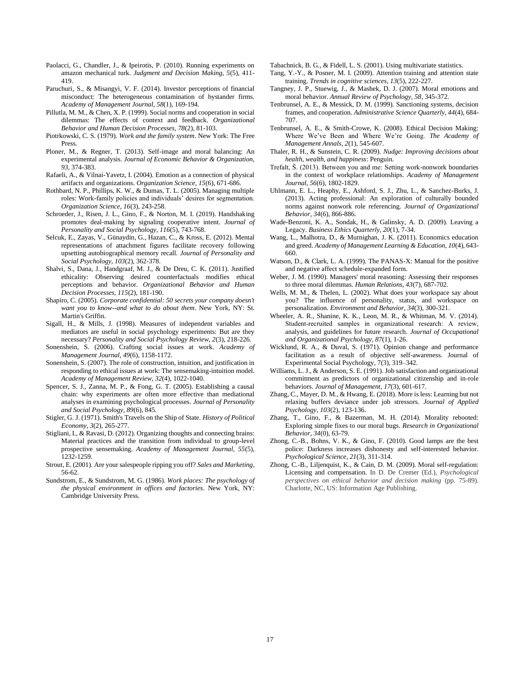- <span id="page-16-29"></span>Paolacci, G., Chandler, J., & Ipeirotis, P. (2010). Running experiments on amazon mechanical turk. *Judgment and Decision Making, 5*(5), 411- 419.
- Paruchuri, S., & Misangyi, V. F. (2014). Investor perceptions of financial misconduct: The heterogeneous contamination of bystander firms. *Academy of Management Journal*, *58*(1), 169-194.
- <span id="page-16-19"></span>Pillutla, M. M., & Chen, X. P. (1999). Social norms and cooperation in social dilemmas: The effects of context and feedback. *Organizational Behavior and Human Decision Processes, 78*(2), 81-103.
- <span id="page-16-11"></span>Piotrkowski, C. S. (1979). *Work and the family system*. New York: The Free Press.
- <span id="page-16-26"></span>Ploner, M., & Regner, T. (2013). Self-image and moral balancing: An experimental analysis. *Journal of Economic Behavior & Organization, 93*, 374-383.
- <span id="page-16-15"></span>Rafaeli, A., & Vilnai-Yavetz, I. (2004). Emotion as a connection of physical artifacts and organizations. *Organization Science, 15*(6), 671-686.
- <span id="page-16-12"></span>Rothbard, N. P., Phillips, K. W., & Dumas, T. L. (2005). Managing multiple roles: Work-family policies and individuals' desires for segmentation. *Organization Science, 16*(3), 243-258.
- <span id="page-16-35"></span>Schroeder, J., Risen, J. L., Gino, F., & Norton, M. I. (2019). Handshaking promotes deal-making by signaling cooperative intent. *Journal of Personality and Social Psychology*, *116*(5), 743-768.
- Selcuk, E., Zayas, V., Günaydin, G., Hazan, C., & Kross, E. (2012). Mental representations of attachment figures facilitate recovery following upsetting autobiographical memory recall. *Journal of Personality and Social Psychology, 103*(2), 362-378.
- <span id="page-16-27"></span>Shalvi, S., Dana, J., Handgraaf, M. J., & De Dreu, C. K. (2011). Justified ethicality: Observing desired counterfactuals modifies ethical perceptions and behavior. *Organizational Behavior and Human Decision Processes, 115*(2), 181-190.
- <span id="page-16-13"></span>Shapiro, C. (2005). *Corporate confidential: 50 secrets your company doesn't want you to know--and what to do about them*. New York, NY: St. Martin's Griffin.
- <span id="page-16-32"></span>Sigall, H., & Mills, J. (1998). Measures of independent variables and mediators are useful in social psychology experiments: But are they necessary? *Personality and Social Psychology Review, 2*(3), 218-226.
- <span id="page-16-16"></span>Sonenshein, S. (2006). Crafting social issues at work. *Academy of Management Journal, 49*(6), 1158-1172.
- <span id="page-16-34"></span>Sonenshein, S. (2007). The role of construction, intuition, and justification in responding to ethical issues at work: The sensemaking-intuition model. *Academy of Management Review, 32*(4), 1022-1040.
- <span id="page-16-33"></span>Spencer, S. J., Zanna, M. P., & Fong, G. T. (2005). Establishing a causal chain: why experiments are often more effective than mediational analyses in examining psychological processes. *Journal of Personality and Social Psychology, 89*(6), 845.
- <span id="page-16-7"></span>Stigler, G. J. (1971). Smith's Travels on the Ship of State. *History of Political Economy, 3*(2), 265-277.
- <span id="page-16-5"></span>Stigliani, I., & Ravasi, D. (2012). Organizing thoughts and connecting brains: Material practices and the transition from individual to group-level prospective sensemaking. *Academy of Management Journal, 55*(5), 1232-1259.
- <span id="page-16-22"></span>Strout, E. (2001). Are your salespeople ripping you off? *Sales and Marketing*, 56-62.
- <span id="page-16-17"></span>Sundstrom, E., & Sundstrom, M. G. (1986). *Work places: The psychology of the physical environment in offices and factories*. New York, NY: Cambridge University Press.

<span id="page-16-23"></span>Tabachnick, B. G., & Fidell, L. S. (2001). Using multivariate statistics.

- <span id="page-16-25"></span>Tang, Y.-Y., & Posner, M. I. (2009). Attention training and attention state training. *Trends in cognitive sciences, 13*(5), 222-227.
- <span id="page-16-30"></span>Tangney, J. P., Stuewig, J., & Mashek, D. J. (2007). Moral emotions and moral behavior. *Annual Review of Psychology, 58*, 345-372.
- <span id="page-16-8"></span>Tenbrunsel, A. E., & Messick, D. M. (1999). Sanctioning systems, decision frames, and cooperation. *Administrative Science Quarterly, 44*(4), 684- 707.
- <span id="page-16-10"></span>Tenbrunsel, A. E., & Smith-Crowe, K. (2008). Ethical Decision Making: Where We've Been and Where We're Going. *The Academy of Management Annals, 2*(1), 545-607.
- <span id="page-16-1"></span>Thaler, R. H., & Sunstein, C. R. (2009). *Nudge: Improving decisions about health, wealth, and happiness*: Penguin.
- <span id="page-16-14"></span>Trefalt, Š. (2013). Between you and me: Setting work-nonwork boundaries in the context of workplace relationships. *Academy of Management Journal, 56*(6), 1802-1829.
- <span id="page-16-4"></span>Uhlmann, E. L., Heaphy, E., Ashford, S. J., Zhu, L., & Sanchez-Burks, J. (2013). Acting professional: An exploration of culturally bounded norms against nonwork role referencing. *Journal of Organizational Behavior, 34*(6), 866-886.
- <span id="page-16-6"></span>Wade-Benzoni, K. A., Sondak, H., & Galinsky, A. D. (2009). Leaving a Legacy. *Business Ethics Quarterly, 20*(1), 7-34.
- <span id="page-16-9"></span>Wang, L., Malhotra, D., & Murnighan, J. K. (2011). Economics education and greed. *Academy of Management Learning & Education, 10*(4), 643- 660.
- <span id="page-16-31"></span>Watson, D., & Clark, L. A. (1999). The PANAS-X: Manual for the positive and negative affect schedule-expanded form.
- <span id="page-16-18"></span>Weber, J. M. (1990). Managers' moral reasoning: Assessing their responses to three moral dilemmas. *Human Relations, 43*(7), 687-702.
- <span id="page-16-3"></span>Wells, M. M., & Thelen, L. (2002). What does your workspace say about you? The influence of personality, status, and workspace on personalization. *Environment and Behavior, 34*(3), 300-321.
- <span id="page-16-21"></span>Wheeler, A. R., Shanine, K. K., Leon, M. R., & Whitman, M. V. (2014). Student-recruited samples in organizational research: A review, analysis, and guidelines for future research. *Journal of Occupational and Organizational Psychology, 87*(1), 1-26.
- <span id="page-16-24"></span>Wicklund, R. A., & Duval, S. (1971). Opinion change and performance facilitation as a result of objective self-awareness. Journal of Experimental Social Psychology, 7(3), 319–342.
- Williams, L. J., & Anderson, S. E. (1991). Job satisfaction and organizational commitment as predictors of organizational citizenship and in-role behaviors. *Journal of Management, 17*(3), 601-617.
- <span id="page-16-20"></span>Zhang, C., Mayer, D. M., & Hwang, E. (2018). More is less: Learning but not relaxing buffers deviance under job stressors. *Journal of Applied Psychology, 103*(2), 123-136.
- <span id="page-16-0"></span>Zhang, T., Gino, F., & Bazerman, M. H. (2014). Morality rebooted: Exploring simple fixes to our moral bugs. *Research in Organizational Behavior, 34*(0), 63-79.
- <span id="page-16-2"></span>Zhong, C.-B., Bohns, V. K., & Gino, F. (2010). Good lamps are the best police: Darkness increases dishonesty and self-interested behavior. *Psychological Science, 21*(3), 311-314.
- <span id="page-16-28"></span>Zhong, C.-B., Liljenquist, K., & Cain, D. M. (2009). Moral self-regulation: Licensing and compensation. In D. De Cremer (Ed.), *Psychological perspectives on ethical behavior and decision making* (pp. 75-89). Charlotte, NC, US: Information Age Publishing.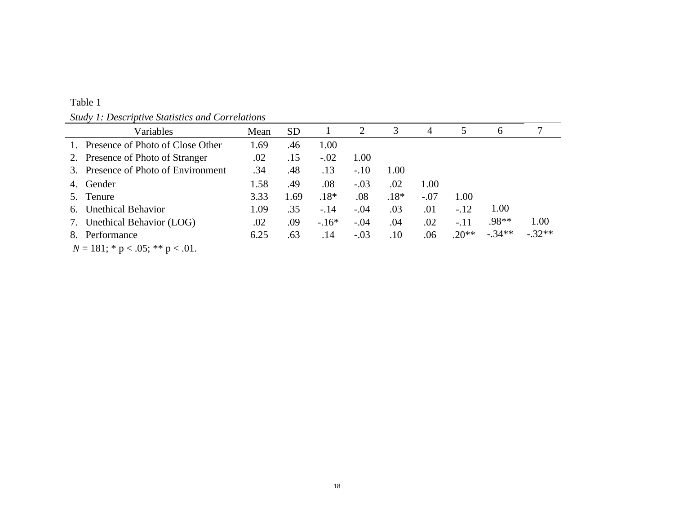|--|

*Study 1: Descriptive Statistics and Correlations*

|    | Variables                           | Mean | <b>SD</b> |        | 2      | 3      | 4      |         | 6        |          |
|----|-------------------------------------|------|-----------|--------|--------|--------|--------|---------|----------|----------|
|    | 1. Presence of Photo of Close Other | .69  | .46       | 1.00   |        |        |        |         |          |          |
|    | 2. Presence of Photo of Stranger    | .02  | .15       | $-.02$ | 1.00   |        |        |         |          |          |
|    | 3. Presence of Photo of Environment | .34  | .48       | .13    | $-.10$ | 1.00   |        |         |          |          |
| 4. | Gender                              | 1.58 | .49       | .08    | $-.03$ | .02    | 1.00   |         |          |          |
|    | Tenure                              | 3.33 | 1.69      | $.18*$ | .08    | $.18*$ | $-.07$ | 1.00    |          |          |
| 6. | <b>Unethical Behavior</b>           | 1.09 | .35       | $-.14$ | $-.04$ | .03    | .01    | $-.12$  | 1.00     |          |
| 7. | Unethical Behavior (LOG)            | .02  | .09       | $-16*$ | $-.04$ | .04    | .02    | $-.11$  | .98**    | 1.00     |
|    | Performance                         | 6.25 | .63       | .14    | $-.03$ | .10    | .06    | $.20**$ | $-.34**$ | $-.32**$ |

*N* = 181; \* p < .05; \*\* p < .01.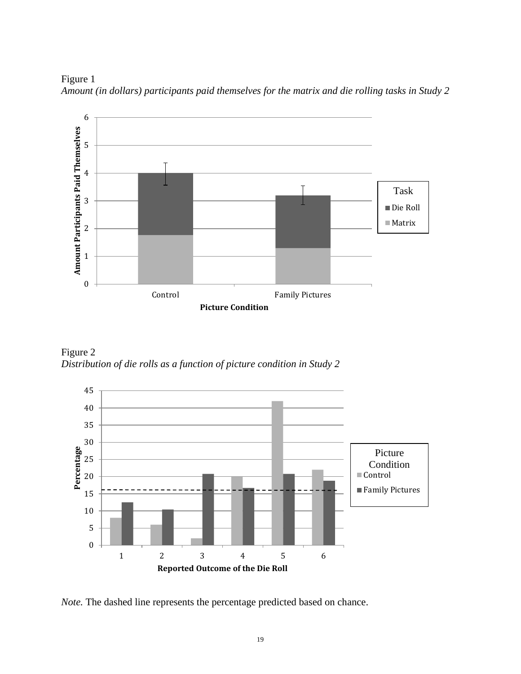Figure 1 *Amount (in dollars) participants paid themselves for the matrix and die rolling tasks in Study 2*



Figure 2 *Distribution of die rolls as a function of picture condition in Study 2*



*Note.* The dashed line represents the percentage predicted based on chance.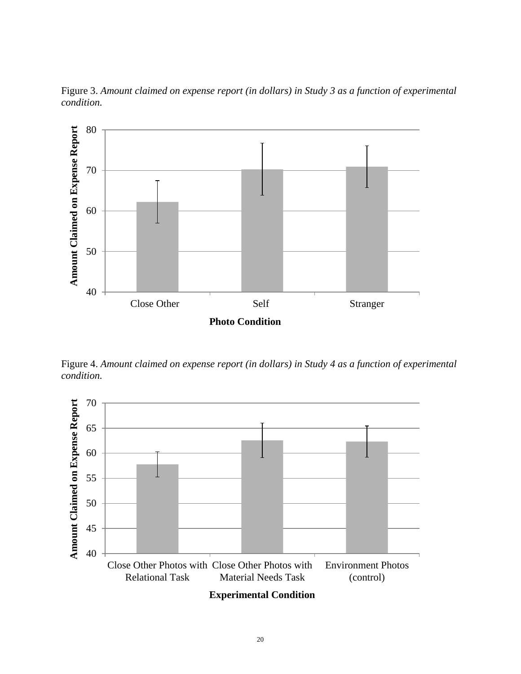

Figure 3. *Amount claimed on expense report (in dollars) in Study 3 as a function of experimental condition.*

Figure 4. *Amount claimed on expense report (in dollars) in Study 4 as a function of experimental condition.*

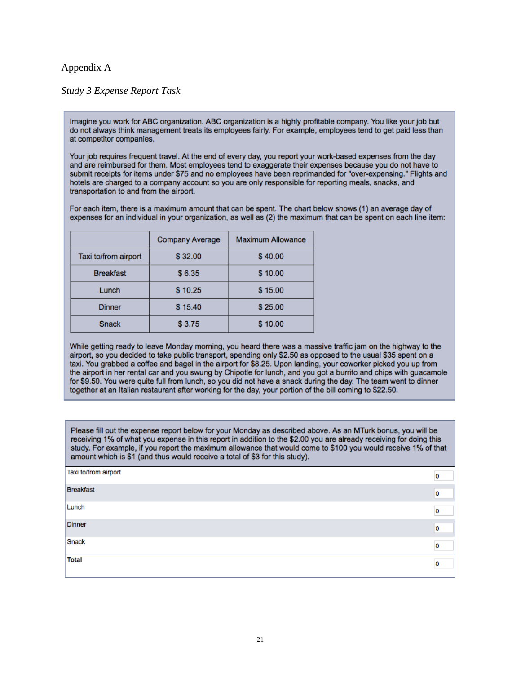# Appendix A

# *Study 3 Expense Report Task*

Imagine you work for ABC organization. ABC organization is a highly profitable company. You like your job but do not always think management treats its employees fairly. For example, employees tend to get paid less than at competitor companies.

Your job requires frequent travel. At the end of every day, you report your work-based expenses from the day and are reimbursed for them. Most employees tend to exaggerate their expenses because you do not have to submit receipts for items under \$75 and no employees have been reprimanded for "over-expensing." Flights and hotels are charged to a company account so you are only responsible for reporting meals, snacks, and transportation to and from the airport.

For each item, there is a maximum amount that can be spent. The chart below shows (1) an average day of expenses for an individual in your organization, as well as (2) the maximum that can be spent on each line item:

|                      | <b>Company Average</b> | <b>Maximum Allowance</b> |
|----------------------|------------------------|--------------------------|
| Taxi to/from airport | \$32.00                | \$40.00                  |
| <b>Breakfast</b>     | \$6.35                 | \$10.00                  |
| Lunch                | \$10.25                | \$15.00                  |
| <b>Dinner</b>        | \$15.40                | \$25.00                  |
| <b>Snack</b>         | \$3.75                 | \$10.00                  |

While getting ready to leave Monday morning, you heard there was a massive traffic jam on the highway to the airport, so you decided to take public transport, spending only \$2.50 as opposed to the usual \$35 spent on a taxi. You grabbed a coffee and bagel in the airport for \$8.25. Upon landing, your coworker picked you up from the airport in her rental car and you swung by Chipotle for lunch, and you got a burrito and chips with guacamole for \$9.50. You were quite full from lunch, so you did not have a snack during the day. The team went to dinner together at an Italian restaurant after working for the day, your portion of the bill coming to \$22.50.

Please fill out the expense report below for your Monday as described above. As an MTurk bonus, you will be receiving 1% of what you expense in this report in addition to the \$2.00 you are already receiving for doing this study. For example, if you report the maximum allowance that would come to \$100 you would receive 1% of that amount which is \$1 (and thus would receive a total of \$3 for this study).

| Taxi to/from airport | 0 |
|----------------------|---|
| Breakfast            | 0 |
| Lunch                | 0 |
| Dinner               | 0 |
| Snack                | 0 |
| <b>Total</b>         | 0 |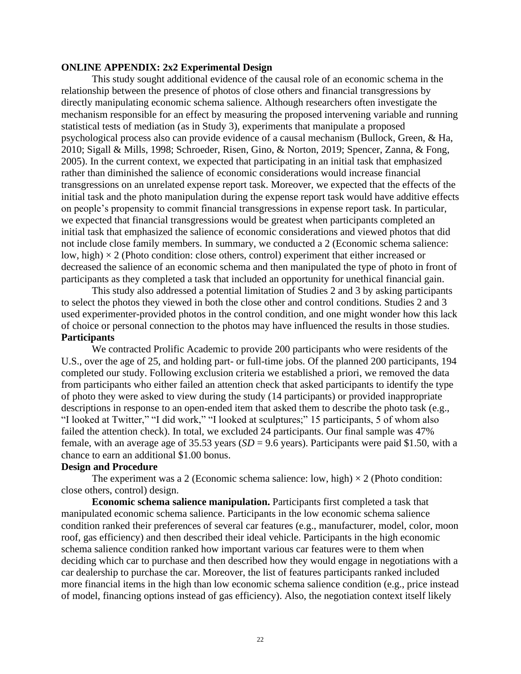# **ONLINE APPENDIX: 2x2 Experimental Design**

This study sought additional evidence of the causal role of an economic schema in the relationship between the presence of photos of close others and financial transgressions by directly manipulating economic schema salience. Although researchers often investigate the mechanism responsible for an effect by measuring the proposed intervening variable and running statistical tests of mediation (as in Study 3), experiments that manipulate a proposed psychological process also can provide evidence of a causal mechanism [\(Bullock, Green, & Ha,](#page-14-28)  [2010;](#page-14-28) [Sigall & Mills, 1998;](#page-16-32) Schroeder, Risen, Gino, & Norton, 2019; [Spencer, Zanna, & Fong,](#page-16-33)  [2005\)](#page-16-33). In the current context, we expected that participating in an initial task that emphasized rather than diminished the salience of economic considerations would increase financial transgressions on an unrelated expense report task. Moreover, we expected that the effects of the initial task and the photo manipulation during the expense report task would have additive effects on people's propensity to commit financial transgressions in expense report task. In particular, we expected that financial transgressions would be greatest when participants completed an initial task that emphasized the salience of economic considerations and viewed photos that did not include close family members. In summary, we conducted a 2 (Economic schema salience: low, high)  $\times$  2 (Photo condition: close others, control) experiment that either increased or decreased the salience of an economic schema and then manipulated the type of photo in front of participants as they completed a task that included an opportunity for unethical financial gain.

This study also addressed a potential limitation of Studies 2 and 3 by asking participants to select the photos they viewed in both the close other and control conditions. Studies 2 and 3 used experimenter-provided photos in the control condition, and one might wonder how this lack of choice or personal connection to the photos may have influenced the results in those studies. **Participants** 

We contracted Prolific Academic to provide 200 participants who were residents of the U.S., over the age of 25, and holding part- or full-time jobs. Of the planned 200 participants, 194 completed our study. Following exclusion criteria we established a priori, we removed the data from participants who either failed an attention check that asked participants to identify the type of photo they were asked to view during the study (14 participants) or provided inappropriate descriptions in response to an open-ended item that asked them to describe the photo task (e.g., "I looked at Twitter," "I did work," "I looked at sculptures;" 15 participants, 5 of whom also failed the attention check). In total, we excluded 24 participants. Our final sample was 47% female, with an average age of 35.53 years ( $SD = 9.6$  years). Participants were paid \$1.50, with a chance to earn an additional \$1.00 bonus.

# **Design and Procedure**

The experiment was a 2 (Economic schema salience: low, high)  $\times$  2 (Photo condition: close others, control) design.

**Economic schema salience manipulation.** Participants first completed a task that manipulated economic schema salience. Participants in the low economic schema salience condition ranked their preferences of several car features (e.g., manufacturer, model, color, moon roof, gas efficiency) and then described their ideal vehicle. Participants in the high economic schema salience condition ranked how important various car features were to them when deciding which car to purchase and then described how they would engage in negotiations with a car dealership to purchase the car. Moreover, the list of features participants ranked included more financial items in the high than low economic schema salience condition (e.g., price instead of model, financing options instead of gas efficiency). Also, the negotiation context itself likely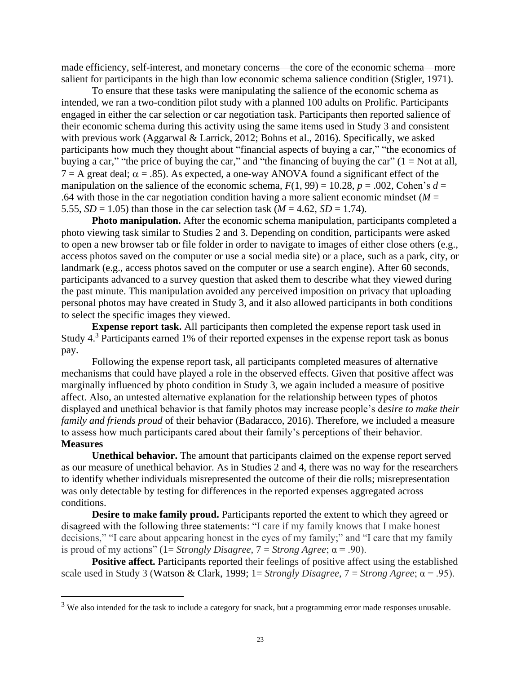made efficiency, self-interest, and monetary concerns—the core of the economic schema—more salient for participants in the high than low economic schema salience condition [\(Stigler, 1971\)](#page-16-7).

To ensure that these tasks were manipulating the salience of the economic schema as intended, we ran a two-condition pilot study with a planned 100 adults on Prolific. Participants engaged in either the car selection or car negotiation task. Participants then reported salience of their economic schema during this activity using the same items used in Study 3 and consistent with previous work (Aggarwal & Larrick, 2012; Bohns et al., 2016). Specifically, we asked participants how much they thought about "financial aspects of buying a car," "the economics of buying a car," "the price of buying the car," and "the financing of buying the car"  $(1 = Not at all,$  $7 = A$  great deal;  $\alpha = .85$ ). As expected, a one-way ANOVA found a significant effect of the manipulation on the salience of the economic schema,  $F(1, 99) = 10.28$ ,  $p = .002$ , Cohen's  $d =$ .64 with those in the car negotiation condition having a more salient economic mindset ( $M =$ 5.55, *SD* = 1.05) than those in the car selection task ( $M = 4.62$ , *SD* = 1.74).

**Photo manipulation.** After the economic schema manipulation, participants completed a photo viewing task similar to Studies 2 and 3. Depending on condition, participants were asked to open a new browser tab or file folder in order to navigate to images of either close others (e.g., access photos saved on the computer or use a social media site) or a place, such as a park, city, or landmark (e.g., access photos saved on the computer or use a search engine). After 60 seconds, participants advanced to a survey question that asked them to describe what they viewed during the past minute. This manipulation avoided any perceived imposition on privacy that uploading personal photos may have created in Study 3, and it also allowed participants in both conditions to select the specific images they viewed.

**Expense report task.** All participants then completed the expense report task used in Study  $4<sup>3</sup>$  Participants earned 1% of their reported expenses in the expense report task as bonus pay.

Following the expense report task, all participants completed measures of alternative mechanisms that could have played a role in the observed effects. Given that positive affect was marginally influenced by photo condition in Study 3, we again included a measure of positive affect. Also, an untested alternative explanation for the relationship between types of photos displayed and unethical behavior is that family photos may increase people's d*esire to make their family and friends proud* of their behavior [\(Badaracco, 2016\)](#page-14-16). Therefore, we included a measure to assess how much participants cared about their family's perceptions of their behavior. **Measures**

**Unethical behavior.** The amount that participants claimed on the expense report served as our measure of unethical behavior. As in Studies 2 and 4, there was no way for the researchers to identify whether individuals misrepresented the outcome of their die rolls; misrepresentation was only detectable by testing for differences in the reported expenses aggregated across conditions.

**Desire to make family proud.** Participants reported the extent to which they agreed or disagreed with the following three statements: "I care if my family knows that I make honest decisions," "I care about appearing honest in the eyes of my family;" and "I care that my family is proud of my actions" ( $1 =$  *Strongly Disagree,*  $7 =$  *Strong Agree*;  $\alpha = .90$ ).

**Positive affect.** Participants reported their feelings of positive affect using the established scale used in Study 3 [\(Watson & Clark, 1999;](#page-16-31) 1= *Strongly Disagree*, 7 = *Strong Agree*; α = .95).

<sup>&</sup>lt;sup>3</sup> We also intended for the task to include a category for snack, but a programming error made responses unusable.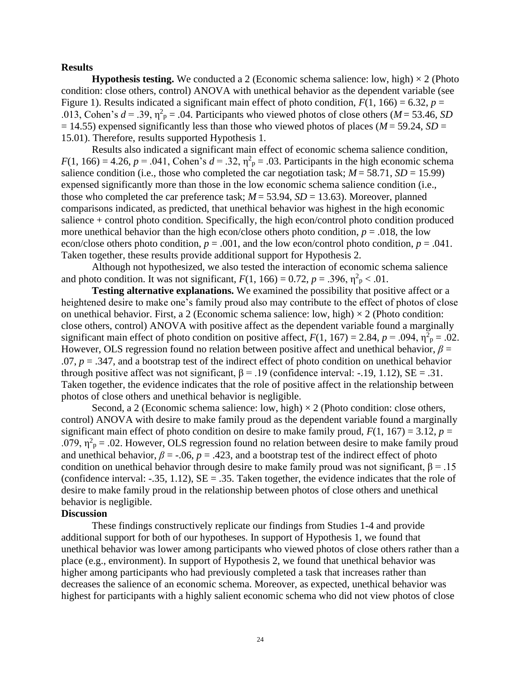# **Results**

**Hypothesis testing.** We conducted a 2 (Economic schema salience: low, high)  $\times$  2 (Photo condition: close others, control) ANOVA with unethical behavior as the dependent variable (see Figure 1). Results indicated a significant main effect of photo condition,  $F(1, 166) = 6.32$ ,  $p =$ .013, Cohen's  $d = .39$ ,  $\eta^2$ <sub>p</sub> = .04. Participants who viewed photos of close others (*M* = 53.46, *SD*  $= 14.55$ ) expensed significantly less than those who viewed photos of places ( $M = 59.24$ ,  $SD =$ 15.01). Therefore, results supported Hypothesis 1.

Results also indicated a significant main effect of economic schema salience condition,  $F(1, 166) = 4.26$ ,  $p = .041$ , Cohen's  $d = .32$ ,  $\eta_{p}^{2} = .03$ . Participants in the high economic schema salience condition (i.e., those who completed the car negotiation task;  $M = 58.71$ ,  $SD = 15.99$ ) expensed significantly more than those in the low economic schema salience condition (i.e., those who completed the car preference task;  $M = 53.94$ ,  $SD = 13.63$ ). Moreover, planned comparisons indicated, as predicted, that unethical behavior was highest in the high economic salience + control photo condition. Specifically, the high econ/control photo condition produced more unethical behavior than the high econ/close others photo condition,  $p = .018$ , the low econ/close others photo condition,  $p = .001$ , and the low econ/control photo condition,  $p = .041$ . Taken together, these results provide additional support for Hypothesis 2.

Although not hypothesized, we also tested the interaction of economic schema salience and photo condition. It was not significant,  $F(1, 166) = 0.72$ ,  $p = .396$ ,  $\eta_{p}^{2} < .01$ .

**Testing alternative explanations.** We examined the possibility that positive affect or a heightened desire to make one's family proud also may contribute to the effect of photos of close on unethical behavior. First, a 2 (Economic schema salience: low, high)  $\times$  2 (Photo condition: close others, control) ANOVA with positive affect as the dependent variable found a marginally significant main effect of photo condition on positive affect,  $F(1, 167) = 2.84$ ,  $p = .094$ ,  $\eta^2$ <sub>p</sub> = .02. However, OLS regression found no relation between positive affect and unethical behavior, *β* =  $.07, p = .347$ , and a bootstrap test of the indirect effect of photo condition on unethical behavior through positive affect was not significant,  $\beta = .19$  (confidence interval: -.19, 1.12),  $SE = .31$ . Taken together, the evidence indicates that the role of positive affect in the relationship between photos of close others and unethical behavior is negligible.

Second, a 2 (Economic schema salience: low, high)  $\times$  2 (Photo condition: close others, control) ANOVA with desire to make family proud as the dependent variable found a marginally significant main effect of photo condition on desire to make family proud,  $F(1, 167) = 3.12$ ,  $p =$ .079,  $\eta^2$ <sub>p</sub> = .02. However, OLS regression found no relation between desire to make family proud and unethical behavior,  $\beta$  = -.06,  $p$  = .423, and a bootstrap test of the indirect effect of photo condition on unethical behavior through desire to make family proud was not significant,  $\beta = .15$ (confidence interval:  $-.35, 1.12$ ),  $SE = .35$ . Taken together, the evidence indicates that the role of desire to make family proud in the relationship between photos of close others and unethical behavior is negligible.

# **Discussion**

These findings constructively replicate our findings from Studies 1-4 and provide additional support for both of our hypotheses. In support of Hypothesis 1, we found that unethical behavior was lower among participants who viewed photos of close others rather than a place (e.g., environment). In support of Hypothesis 2, we found that unethical behavior was higher among participants who had previously completed a task that increases rather than decreases the salience of an economic schema. Moreover, as expected, unethical behavior was highest for participants with a highly salient economic schema who did not view photos of close